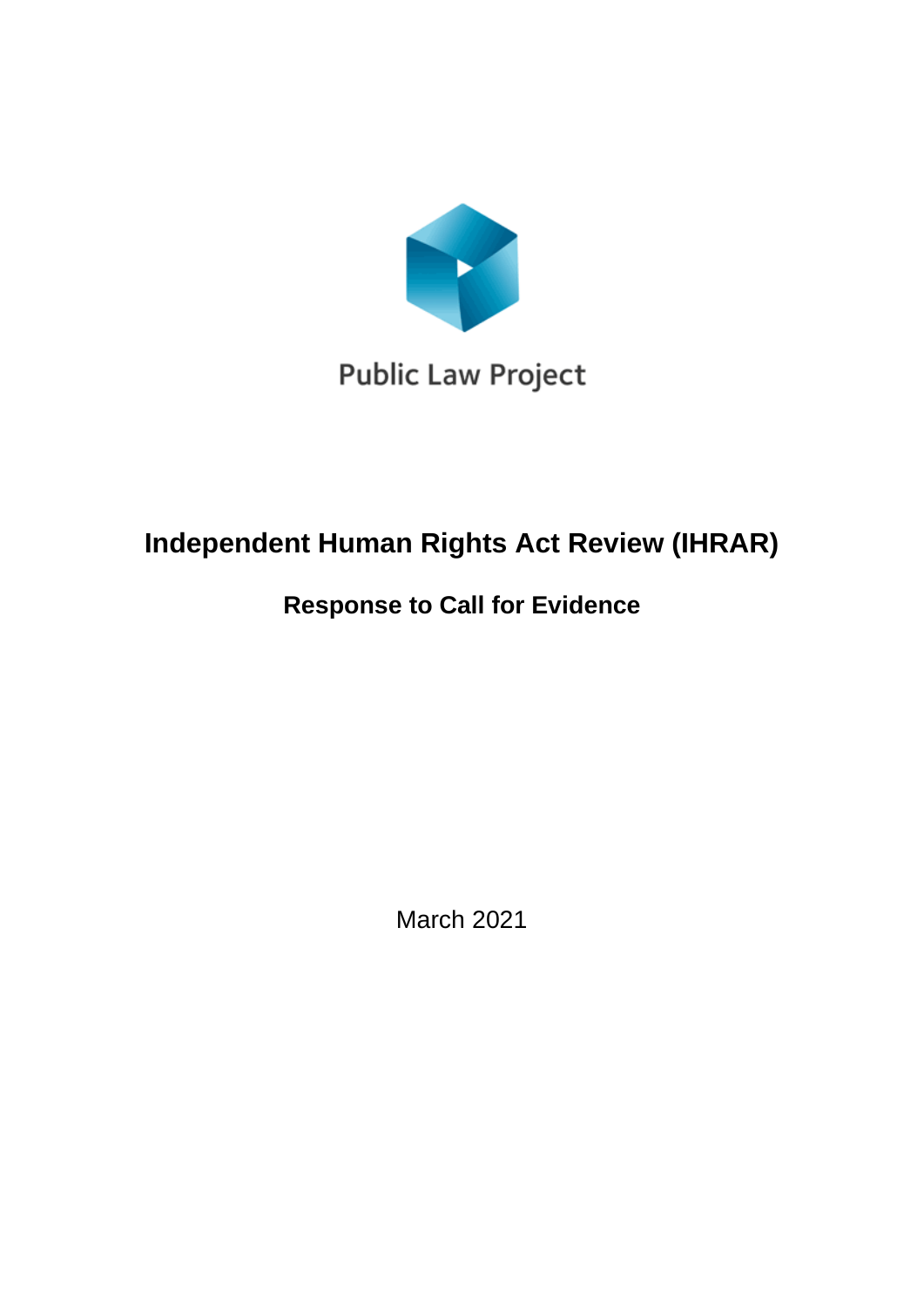

**Public Law Project** 

# **Independent Human Rights Act Review (IHRAR)**

## **Response to Call for Evidence**

March 2021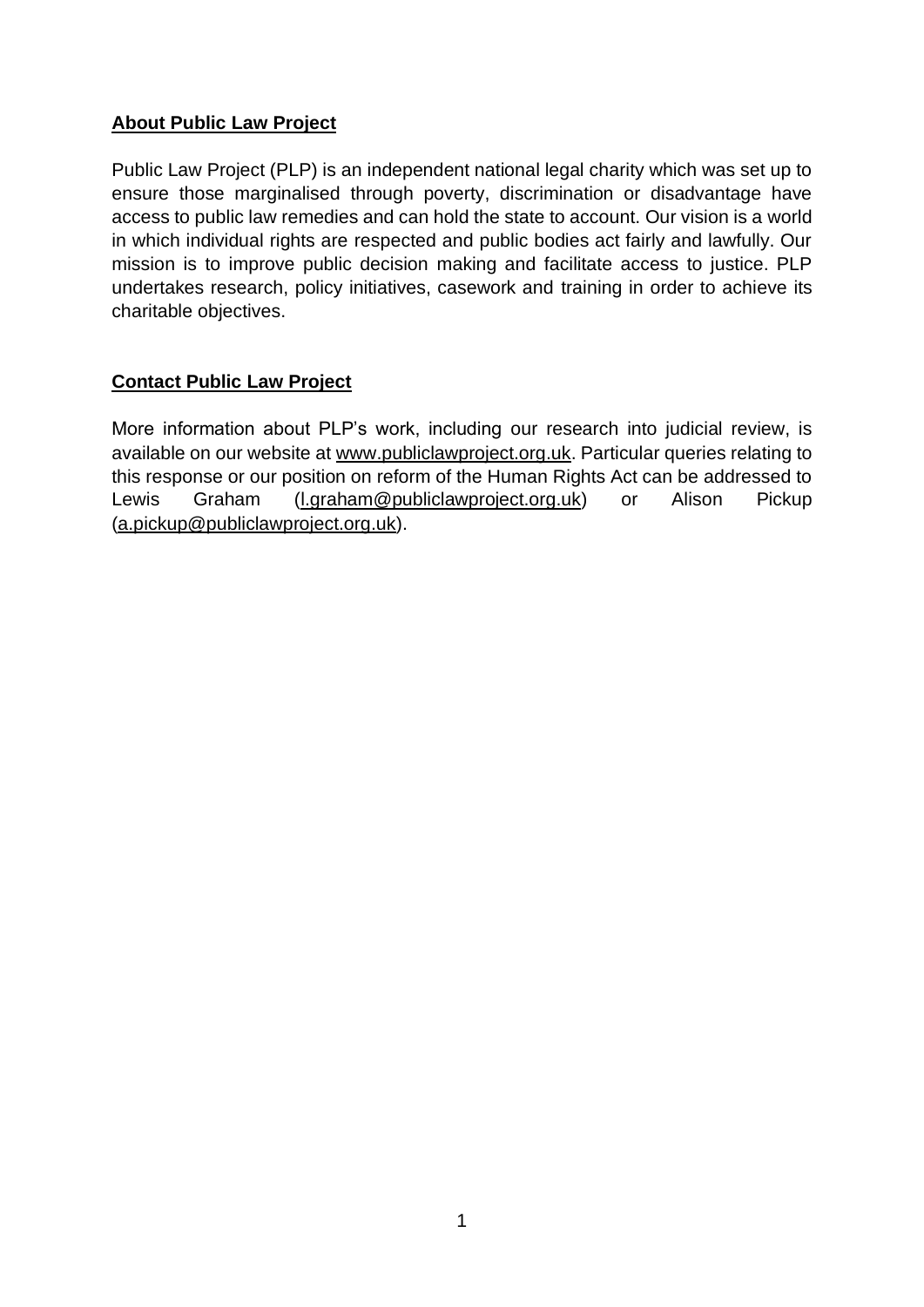#### **About Public Law Project**

Public Law Project (PLP) is an independent national legal charity which was set up to ensure those marginalised through poverty, discrimination or disadvantage have access to public law remedies and can hold the state to account. Our vision is a world in which individual rights are respected and public bodies act fairly and lawfully. Our mission is to improve public decision making and facilitate access to justice. PLP undertakes research, policy initiatives, casework and training in order to achieve its charitable objectives.

#### **Contact Public Law Project**

More information about PLP's work, including our research into judicial review, is available on our website at [www.publiclawproject.org.uk.](http://www.publiclawproject.org.uk/) Particular queries relating to this response or our position on reform of the Human Rights Act can be addressed to Lewis Graham [\(l.graham@publiclawproject.org.uk\)](mailto:l.graham@publiclawproject.org.uk) or Alison Pickup [\(a.pickup@publiclawproject.org.uk\)](mailto:a.pickup@publiclawproject.org.uk).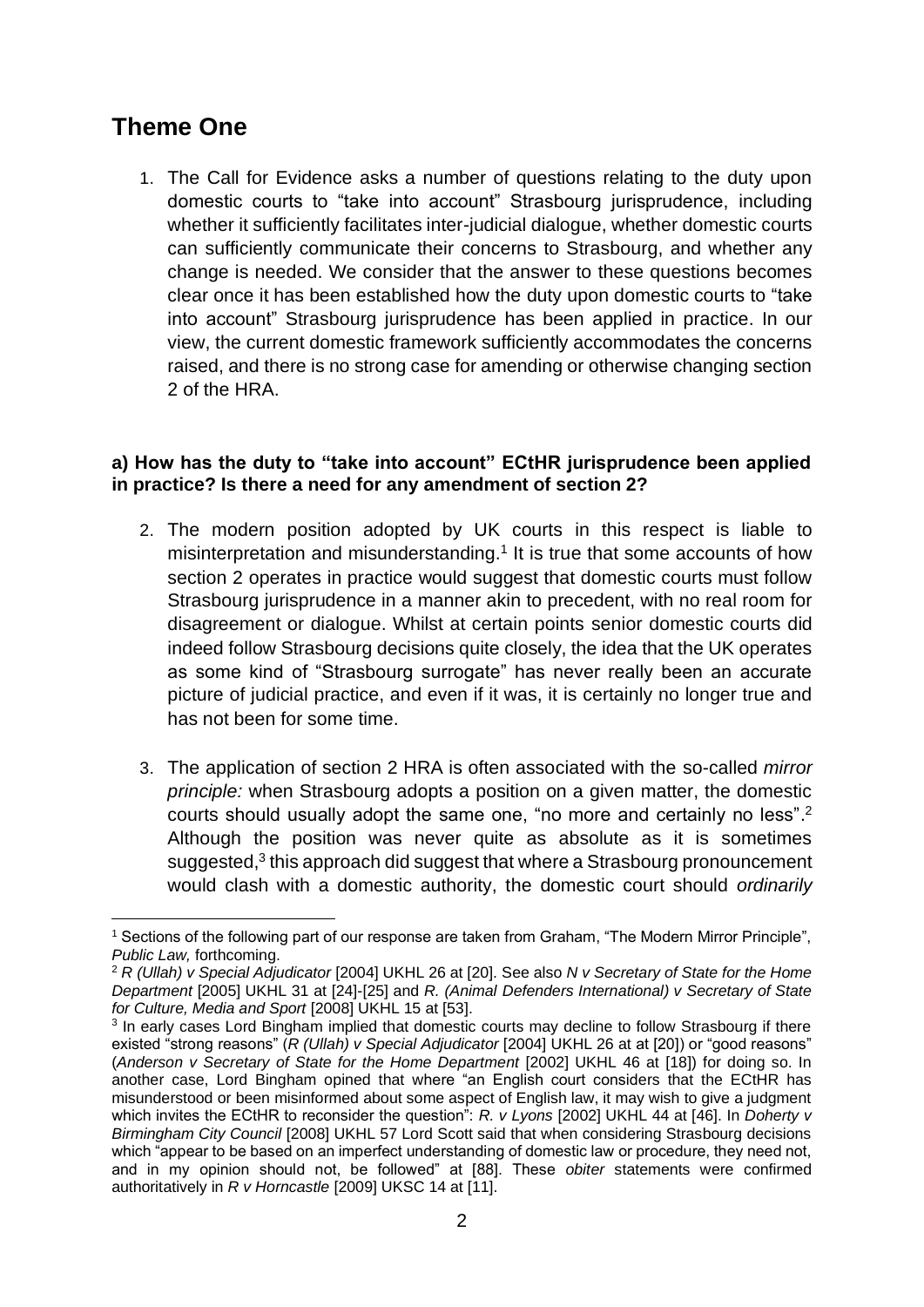## **Theme One**

1. The Call for Evidence asks a number of questions relating to the duty upon domestic courts to "take into account" Strasbourg jurisprudence, including whether it sufficiently facilitates inter-judicial dialogue, whether domestic courts can sufficiently communicate their concerns to Strasbourg, and whether any change is needed. We consider that the answer to these questions becomes clear once it has been established how the duty upon domestic courts to "take into account" Strasbourg jurisprudence has been applied in practice. In our view, the current domestic framework sufficiently accommodates the concerns raised, and there is no strong case for amending or otherwise changing section 2 of the HRA.

#### **a) How has the duty to "take into account" ECtHR jurisprudence been applied in practice? Is there a need for any amendment of section 2?**

- 2. The modern position adopted by UK courts in this respect is liable to misinterpretation and misunderstanding.<sup>1</sup> It is true that some accounts of how section 2 operates in practice would suggest that domestic courts must follow Strasbourg jurisprudence in a manner akin to precedent, with no real room for disagreement or dialogue. Whilst at certain points senior domestic courts did indeed follow Strasbourg decisions quite closely, the idea that the UK operates as some kind of "Strasbourg surrogate" has never really been an accurate picture of judicial practice, and even if it was, it is certainly no longer true and has not been for some time.
- 3. The application of section 2 HRA is often associated with the so-called *mirror principle:* when Strasbourg adopts a position on a given matter, the domestic courts should usually adopt the same one, "no more and certainly no less".<sup>2</sup> Although the position was never quite as absolute as it is sometimes suggested,<sup>3</sup> this approach did suggest that where a Strasbourg pronouncement would clash with a domestic authority, the domestic court should *ordinarily*

 $1$  Sections of the following part of our response are taken from Graham, "The Modern Mirror Principle", *Public Law,* forthcoming.

<sup>2</sup> *R (Ullah) v Special Adjudicator* [2004] UKHL 26 at [20]. See also *N v Secretary of State for the Home Department* [2005] UKHL 31 at [24]-[25] and *R. (Animal Defenders International) v Secretary of State for Culture, Media and Sport* [2008] UKHL 15 at [53].

<sup>&</sup>lt;sup>3</sup> In early cases Lord Bingham implied that domestic courts may decline to follow Strasbourg if there existed "strong reasons" (*R (Ullah) v Special Adjudicator* [2004] UKHL 26 at at [20]) or "good reasons" (*Anderson v Secretary of State for the Home Department* [2002] UKHL 46 at [18]) for doing so. In another case, Lord Bingham opined that where "an English court considers that the ECtHR has misunderstood or been misinformed about some aspect of English law, it may wish to give a judgment which invites the ECtHR to reconsider the question": *R. v Lyons* [2002] UKHL 44 at [46]. In *Doherty v Birmingham City Council* [2008] UKHL 57 Lord Scott said that when considering Strasbourg decisions which "appear to be based on an imperfect understanding of domestic law or procedure, they need not, and in my opinion should not, be followed" at [88]. These *obiter* statements were confirmed authoritatively in *R v Horncastle* [2009] UKSC 14 at [11].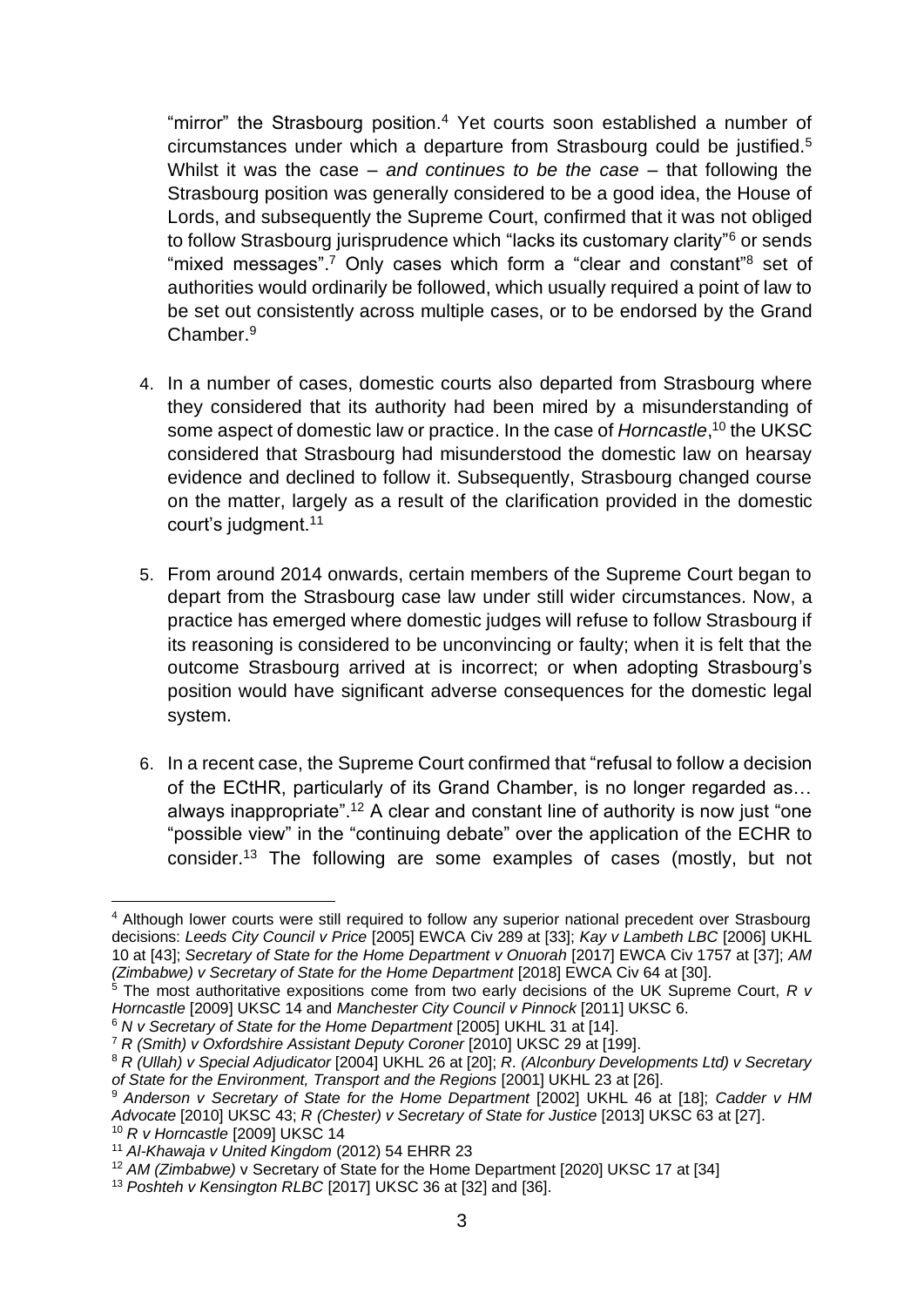"mirror" the Strasbourg position.<sup>4</sup> Yet courts soon established a number of circumstances under which a departure from Strasbourg could be justified.<sup>5</sup> Whilst it was the case – *and continues to be the case* – that following the Strasbourg position was generally considered to be a good idea, the House of Lords, and subsequently the Supreme Court, confirmed that it was not obliged to follow Strasbourg jurisprudence which "lacks its customary clarity"<sup>6</sup> or sends "mixed messages".<sup>7</sup> Only cases which form a "clear and constant"<sup>8</sup> set of authorities would ordinarily be followed, which usually required a point of law to be set out consistently across multiple cases, or to be endorsed by the Grand Chamber.<sup>9</sup>

- 4. In a number of cases, domestic courts also departed from Strasbourg where they considered that its authority had been mired by a misunderstanding of some aspect of domestic law or practice. In the case of *Horncastle*,<sup>10</sup> the UKSC considered that Strasbourg had misunderstood the domestic law on hearsay evidence and declined to follow it. Subsequently, Strasbourg changed course on the matter, largely as a result of the clarification provided in the domestic court's judgment.<sup>11</sup>
- 5. From around 2014 onwards, certain members of the Supreme Court began to depart from the Strasbourg case law under still wider circumstances. Now, a practice has emerged where domestic judges will refuse to follow Strasbourg if its reasoning is considered to be unconvincing or faulty; when it is felt that the outcome Strasbourg arrived at is incorrect; or when adopting Strasbourg's position would have significant adverse consequences for the domestic legal system.
- 6. In a recent case, the Supreme Court confirmed that "refusal to follow a decision of the ECtHR, particularly of its Grand Chamber, is no longer regarded as… always inappropriate".<sup>12</sup> A clear and constant line of authority is now just "one "possible view" in the "continuing debate" over the application of the ECHR to consider.<sup>13</sup> The following are some examples of cases (mostly, but not

<sup>4</sup> Although lower courts were still required to follow any superior national precedent over Strasbourg decisions: *Leeds City Council v Price* [2005] EWCA Civ 289 at [33]; *Kay v Lambeth LBC* [2006] UKHL 10 at [43]; *Secretary of State for the Home Department v Onuorah* [2017] EWCA Civ 1757 at [37]; *AM (Zimbabwe) v Secretary of State for the Home Department* [2018] EWCA Civ 64 at [30].

<sup>5</sup> The most authoritative expositions come from two early decisions of the UK Supreme Court, *R v Horncastle* [2009] UKSC 14 and *Manchester City Council v Pinnock* [2011] UKSC 6.

<sup>6</sup> *N v Secretary of State for the Home Department* [2005] UKHL 31 at [14].

<sup>7</sup> *R (Smith) v Oxfordshire Assistant Deputy Coroner* [2010] UKSC 29 at [199].

<sup>8</sup> *R (Ullah) v Special Adjudicator* [2004] UKHL 26 at [20]; *R. (Alconbury Developments Ltd) v Secretary of State for the Environment, Transport and the Regions* [2001] UKHL 23 at [26].

<sup>9</sup> *Anderson v Secretary of State for the Home Department* [2002] UKHL 46 at [18]; *Cadder v HM Advocate* [2010] UKSC 43; *R (Chester) v Secretary of State for Justice* [2013] UKSC 63 at [27]. <sup>10</sup> *R v Horncastle* [2009] UKSC 14

<sup>11</sup> *Al-Khawaja v United Kingdom* (2012) 54 EHRR 23

<sup>&</sup>lt;sup>12</sup> AM (Zimbabwe) v Secretary of State for the Home Department [2020] UKSC 17 at [34]

<sup>13</sup> *Poshteh v Kensington RLBC* [2017] UKSC 36 at [32] and [36].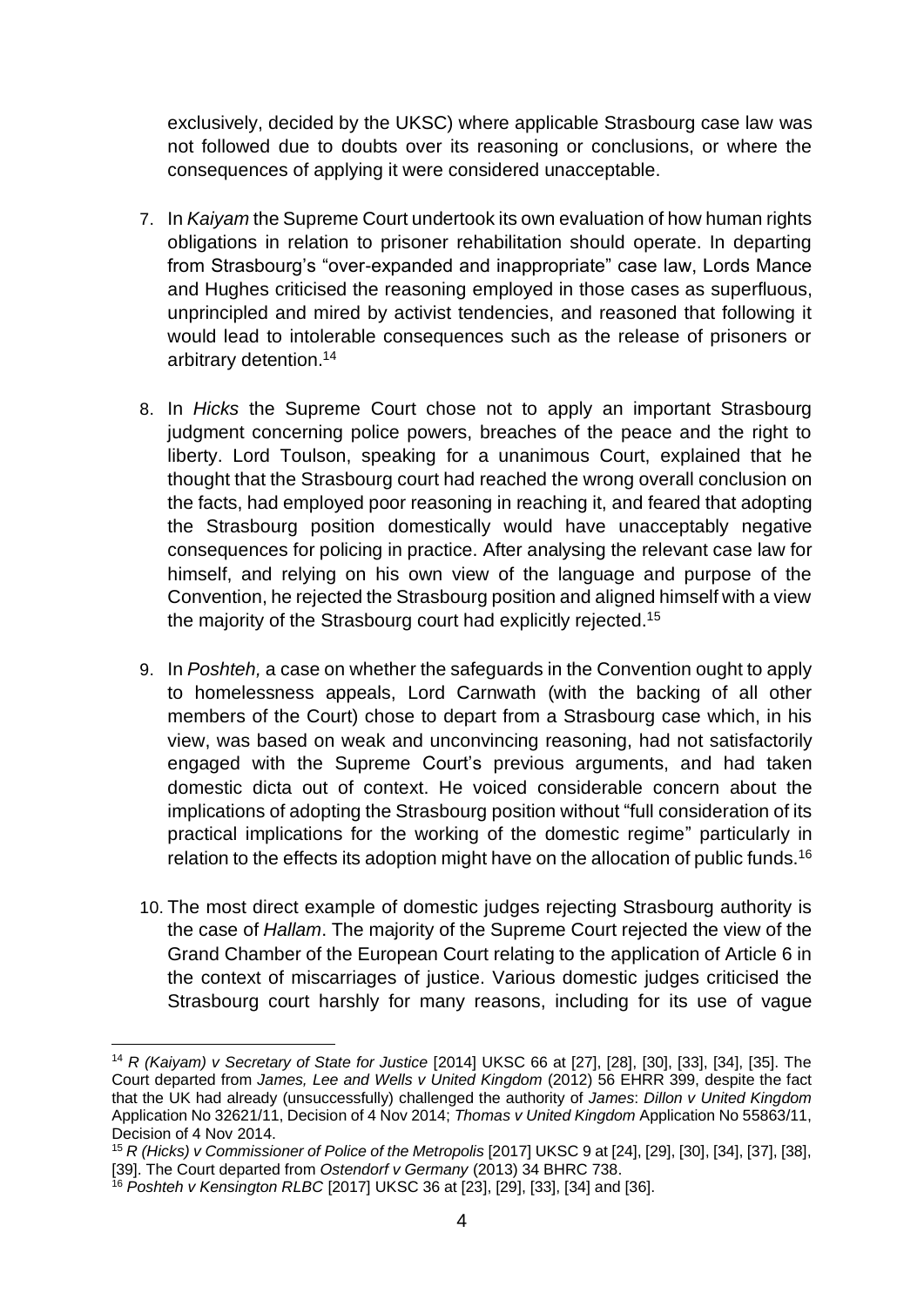exclusively, decided by the UKSC) where applicable Strasbourg case law was not followed due to doubts over its reasoning or conclusions, or where the consequences of applying it were considered unacceptable.

- 7. In *Kaiyam* the Supreme Court undertook its own evaluation of how human rights obligations in relation to prisoner rehabilitation should operate. In departing from Strasbourg's "over-expanded and inappropriate" case law, Lords Mance and Hughes criticised the reasoning employed in those cases as superfluous, unprincipled and mired by activist tendencies, and reasoned that following it would lead to intolerable consequences such as the release of prisoners or arbitrary detention.<sup>14</sup>
- 8. In *Hicks* the Supreme Court chose not to apply an important Strasbourg judgment concerning police powers, breaches of the peace and the right to liberty. Lord Toulson, speaking for a unanimous Court, explained that he thought that the Strasbourg court had reached the wrong overall conclusion on the facts, had employed poor reasoning in reaching it, and feared that adopting the Strasbourg position domestically would have unacceptably negative consequences for policing in practice. After analysing the relevant case law for himself, and relying on his own view of the language and purpose of the Convention, he rejected the Strasbourg position and aligned himself with a view the majority of the Strasbourg court had explicitly rejected.<sup>15</sup>
- 9. In *Poshteh,* a case on whether the safeguards in the Convention ought to apply to homelessness appeals, Lord Carnwath (with the backing of all other members of the Court) chose to depart from a Strasbourg case which, in his view, was based on weak and unconvincing reasoning, had not satisfactorily engaged with the Supreme Court's previous arguments, and had taken domestic dicta out of context. He voiced considerable concern about the implications of adopting the Strasbourg position without "full consideration of its practical implications for the working of the domestic regime" particularly in relation to the effects its adoption might have on the allocation of public funds.<sup>16</sup>
- 10. The most direct example of domestic judges rejecting Strasbourg authority is the case of *Hallam*. The majority of the Supreme Court rejected the view of the Grand Chamber of the European Court relating to the application of Article 6 in the context of miscarriages of justice. Various domestic judges criticised the Strasbourg court harshly for many reasons, including for its use of vague

<sup>14</sup> *R (Kaiyam) v Secretary of State for Justice* [2014] UKSC 66 at [27], [28], [30], [33], [34], [35]. The Court departed from *James, Lee and Wells v United Kingdom* (2012) 56 EHRR 399, despite the fact that the UK had already (unsuccessfully) challenged the authority of *James*: *Dillon v United Kingdom*  Application No 32621/11, Decision of 4 Nov 2014; *Thomas v United Kingdom* Application No 55863/11, Decision of 4 Nov 2014.

<sup>15</sup> *R (Hicks) v Commissioner of Police of the Metropolis* [2017] UKSC 9 at [24], [29], [30], [34], [37], [38], [39]. The Court departed from *Ostendorf v Germany* (2013) 34 BHRC 738.

<sup>16</sup> *Poshteh v Kensington RLBC* [2017] UKSC 36 at [23], [29], [33], [34] and [36].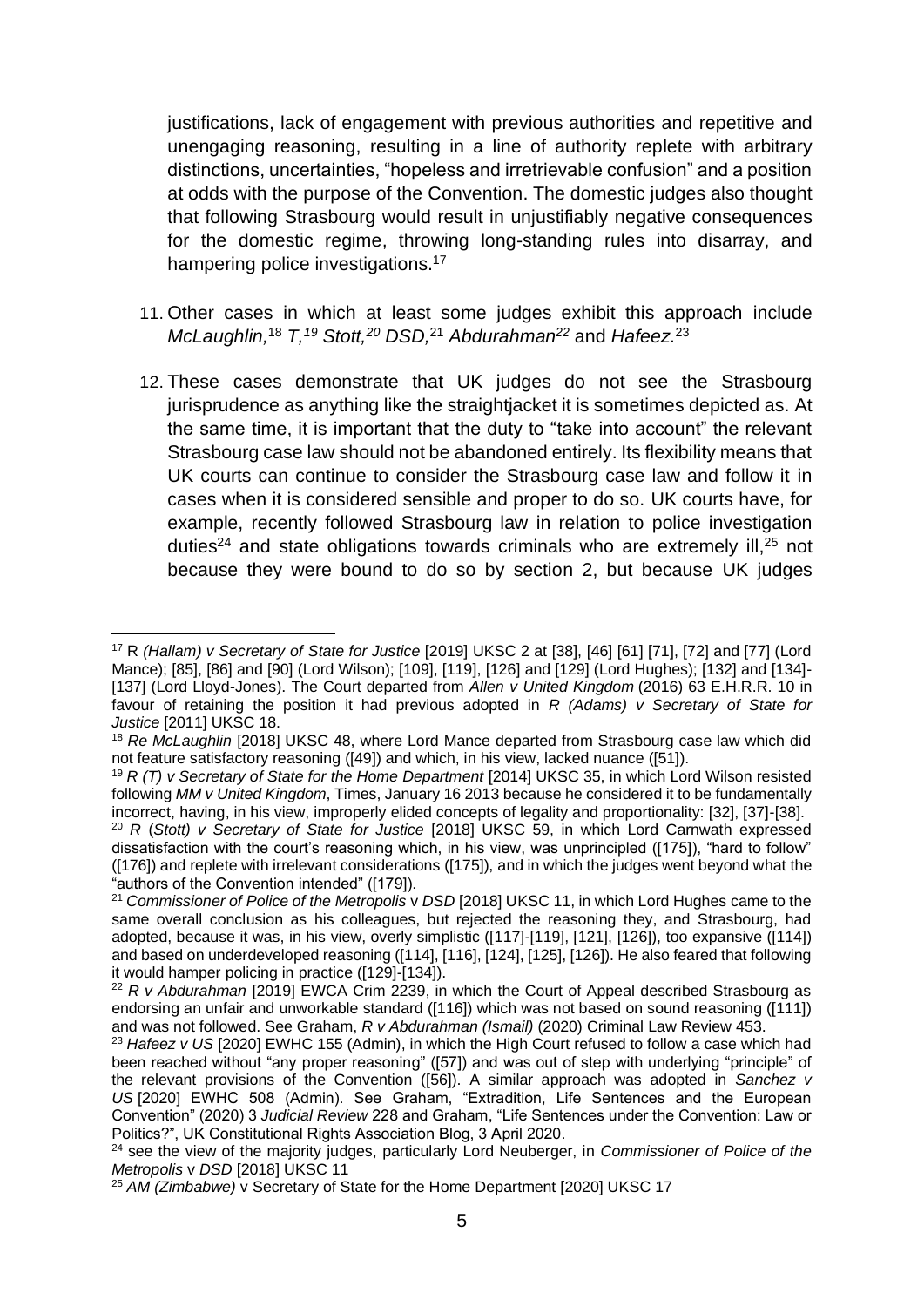justifications, lack of engagement with previous authorities and repetitive and unengaging reasoning, resulting in a line of authority replete with arbitrary distinctions, uncertainties, "hopeless and irretrievable confusion" and a position at odds with the purpose of the Convention. The domestic judges also thought that following Strasbourg would result in unjustifiably negative consequences for the domestic regime, throwing long-standing rules into disarray, and hampering police investigations.<sup>17</sup>

- 11. Other cases in which at least some judges exhibit this approach include *McLaughlin,* <sup>18</sup> *T, <sup>19</sup> Stott, <sup>20</sup> DSD,* <sup>21</sup> *Abdurahman<sup>22</sup>* and *Hafeez.* 23
- 12. These cases demonstrate that UK judges do not see the Strasbourg jurisprudence as anything like the straightjacket it is sometimes depicted as. At the same time, it is important that the duty to "take into account" the relevant Strasbourg case law should not be abandoned entirely. Its flexibility means that UK courts can continue to consider the Strasbourg case law and follow it in cases when it is considered sensible and proper to do so. UK courts have, for example, recently followed Strasbourg law in relation to police investigation duties<sup>24</sup> and state obligations towards criminals who are extremely ill,  $25$  not because they were bound to do so by section 2, but because UK judges

<sup>17</sup> R *(Hallam) v Secretary of State for Justice* [2019] UKSC 2 at [38], [46] [61] [71], [72] and [77] (Lord Mance); [85], [86] and [90] (Lord Wilson); [109], [119], [126] and [129] (Lord Hughes); [132] and [134]- [137] (Lord Lloyd-Jones). The Court departed from *Allen v United Kingdom* (2016) 63 E.H.R.R. 10 in favour of retaining the position it had previous adopted in *R (Adams) v Secretary of State for Justice* [2011] UKSC 18.

<sup>18</sup> *Re McLaughlin* [2018] UKSC 48, where Lord Mance departed from Strasbourg case law which did not feature satisfactory reasoning ([49]) and which, in his view, lacked nuance ([51]).

<sup>19</sup> *R (T) v Secretary of State for the Home Department* [2014] UKSC 35, in which Lord Wilson resisted following *MM v United Kingdom*, Times, January 16 2013 because he considered it to be fundamentally incorrect, having, in his view, improperly elided concepts of legality and proportionality: [32], [37]-[38].

<sup>20</sup> *R* (*Stott) v Secretary of State for Justice* [2018] UKSC 59, in which Lord Carnwath expressed dissatisfaction with the court's reasoning which, in his view, was unprincipled ([175]), "hard to follow" ([176]) and replete with irrelevant considerations ([175]), and in which the judges went beyond what the "authors of the Convention intended" ([179]).

<sup>&</sup>lt;sup>21</sup> Commissioner of Police of the Metropolis v DSD [2018] UKSC 11, in which Lord Hughes came to the same overall conclusion as his colleagues, but rejected the reasoning they, and Strasbourg, had adopted, because it was, in his view, overly simplistic ([117]-[119], [121], [126]), too expansive ([114]) and based on underdeveloped reasoning ([114], [116], [124], [125], [126]). He also feared that following it would hamper policing in practice ([129]-[134]).

<sup>22</sup> *R v Abdurahman* [2019] EWCA Crim 2239, in which the Court of Appeal described Strasbourg as endorsing an unfair and unworkable standard ([116]) which was not based on sound reasoning ([111]) and was not followed. See Graham, *R v Abdurahman (Ismail)* (2020) Criminal Law Review 453.

<sup>&</sup>lt;sup>23</sup> Hafeez v US [2020] EWHC 155 (Admin), in which the High Court refused to follow a case which had been reached without "any proper reasoning" ([57]) and was out of step with underlying "principle" of the relevant provisions of the Convention ([56]). A similar approach was adopted in *Sanchez v US* [2020] EWHC 508 (Admin). See Graham, "Extradition, Life Sentences and the European Convention" (2020) 3 *Judicial Review* 228 and Graham, "Life Sentences under the Convention: Law or Politics?", UK Constitutional Rights Association Blog, 3 April 2020.

<sup>24</sup> see the view of the majority judges, particularly Lord Neuberger, in *Commissioner of Police of the Metropolis* v *DSD* [2018] UKSC 11

<sup>25</sup> *AM (Zimbabwe)* v Secretary of State for the Home Department [2020] UKSC 17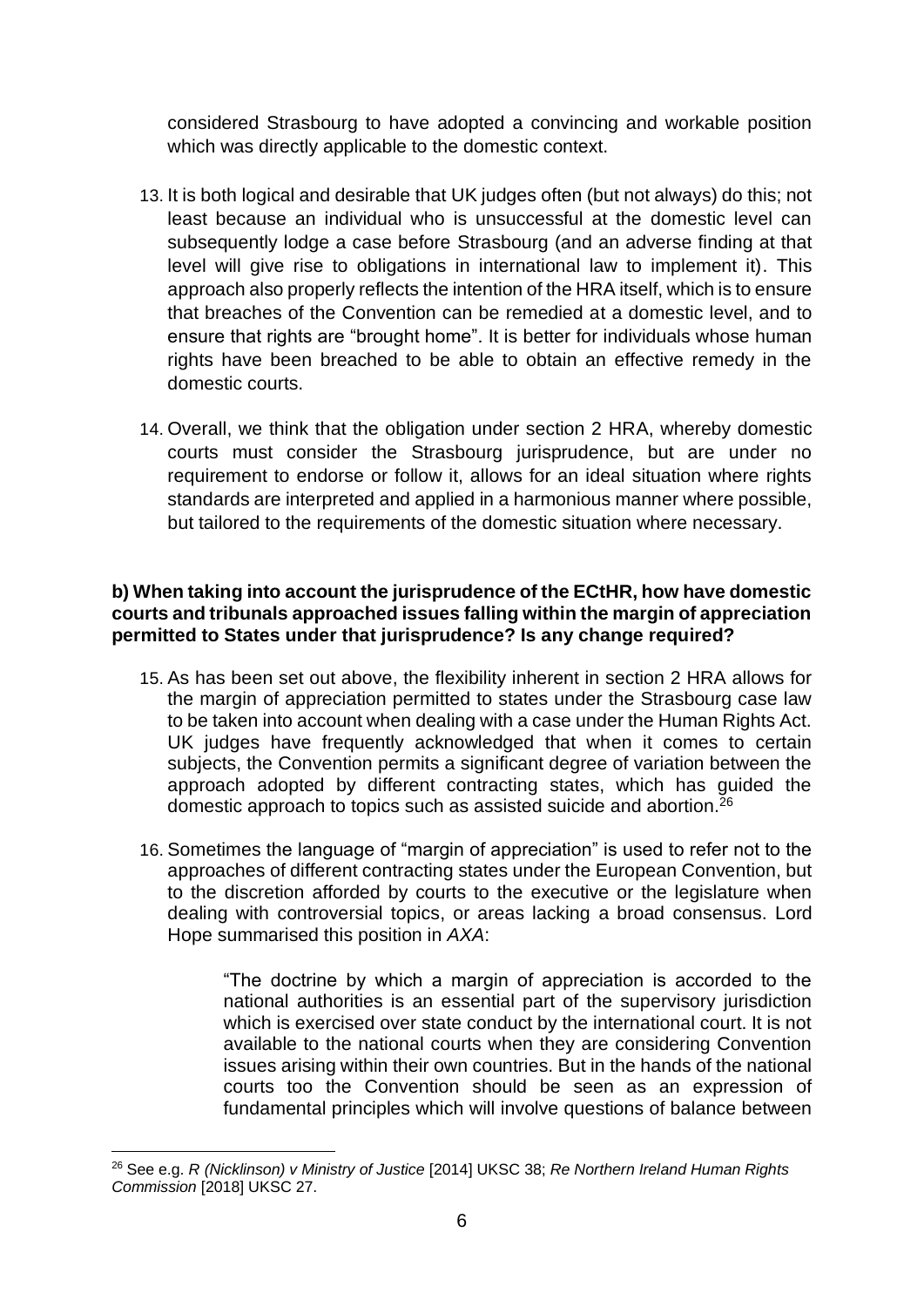considered Strasbourg to have adopted a convincing and workable position which was directly applicable to the domestic context.

- 13. It is both logical and desirable that UK judges often (but not always) do this; not least because an individual who is unsuccessful at the domestic level can subsequently lodge a case before Strasbourg (and an adverse finding at that level will give rise to obligations in international law to implement it). This approach also properly reflects the intention of the HRA itself, which is to ensure that breaches of the Convention can be remedied at a domestic level, and to ensure that rights are "brought home". It is better for individuals whose human rights have been breached to be able to obtain an effective remedy in the domestic courts.
- 14. Overall, we think that the obligation under section 2 HRA, whereby domestic courts must consider the Strasbourg jurisprudence, but are under no requirement to endorse or follow it, allows for an ideal situation where rights standards are interpreted and applied in a harmonious manner where possible, but tailored to the requirements of the domestic situation where necessary.

#### **b) When taking into account the jurisprudence of the ECtHR, how have domestic courts and tribunals approached issues falling within the margin of appreciation permitted to States under that jurisprudence? Is any change required?**

- 15. As has been set out above, the flexibility inherent in section 2 HRA allows for the margin of appreciation permitted to states under the Strasbourg case law to be taken into account when dealing with a case under the Human Rights Act. UK judges have frequently acknowledged that when it comes to certain subjects, the Convention permits a significant degree of variation between the approach adopted by different contracting states, which has guided the domestic approach to topics such as assisted suicide and abortion.<sup>26</sup>
- 16. Sometimes the language of "margin of appreciation" is used to refer not to the approaches of different contracting states under the European Convention, but to the discretion afforded by courts to the executive or the legislature when dealing with controversial topics, or areas lacking a broad consensus. Lord Hope summarised this position in *AXA*:

"The doctrine by which a margin of appreciation is accorded to the national authorities is an essential part of the supervisory jurisdiction which is exercised over state conduct by the international court. It is not available to the national courts when they are considering Convention issues arising within their own countries. But in the hands of the national courts too the Convention should be seen as an expression of fundamental principles which will involve questions of balance between

<sup>26</sup> See e.g. *R (Nicklinson) v Ministry of Justice* [2014] UKSC 38; *Re Northern Ireland Human Rights Commission* [2018] UKSC 27.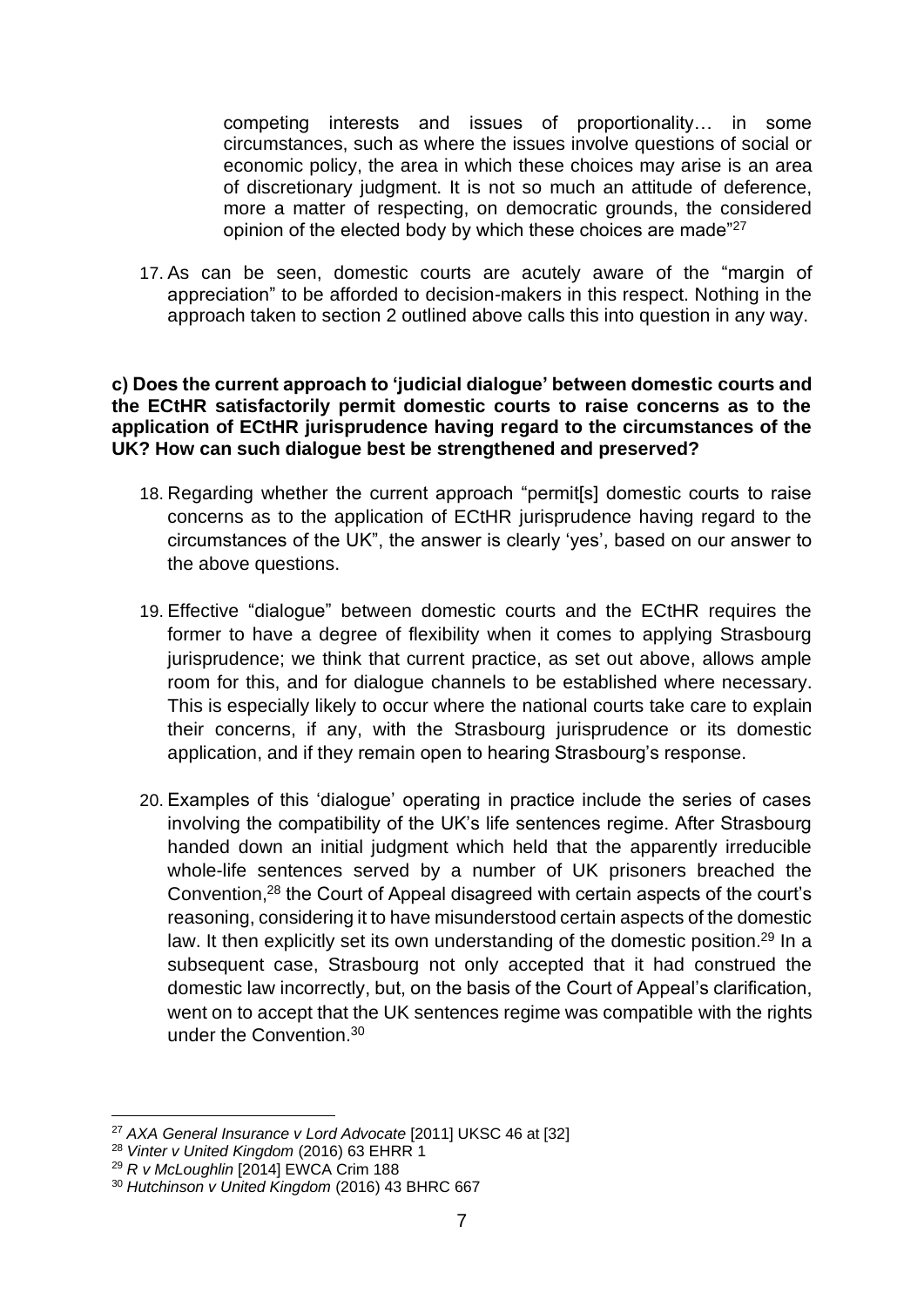competing interests and issues of proportionality… in some circumstances, such as where the issues involve questions of social or economic policy, the area in which these choices may arise is an area of discretionary judgment. It is not so much an attitude of deference, more a matter of respecting, on democratic grounds, the considered opinion of the elected body by which these choices are made"<sup>27</sup>

17. As can be seen, domestic courts are acutely aware of the "margin of appreciation" to be afforded to decision-makers in this respect. Nothing in the approach taken to section 2 outlined above calls this into question in any way.

#### **c) Does the current approach to 'judicial dialogue' between domestic courts and the ECtHR satisfactorily permit domestic courts to raise concerns as to the application of ECtHR jurisprudence having regard to the circumstances of the UK? How can such dialogue best be strengthened and preserved?**

- 18. Regarding whether the current approach "permit[s] domestic courts to raise concerns as to the application of ECtHR jurisprudence having regard to the circumstances of the UK", the answer is clearly 'yes', based on our answer to the above questions.
- 19. Effective "dialogue" between domestic courts and the ECtHR requires the former to have a degree of flexibility when it comes to applying Strasbourg jurisprudence; we think that current practice, as set out above, allows ample room for this, and for dialogue channels to be established where necessary. This is especially likely to occur where the national courts take care to explain their concerns, if any, with the Strasbourg jurisprudence or its domestic application, and if they remain open to hearing Strasbourg's response.
- 20. Examples of this 'dialogue' operating in practice include the series of cases involving the compatibility of the UK's life sentences regime. After Strasbourg handed down an initial judgment which held that the apparently irreducible whole-life sentences served by a number of UK prisoners breached the Convention,<sup>28</sup> the Court of Appeal disagreed with certain aspects of the court's reasoning, considering it to have misunderstood certain aspects of the domestic law. It then explicitly set its own understanding of the domestic position.<sup>29</sup> In a subsequent case, Strasbourg not only accepted that it had construed the domestic law incorrectly, but, on the basis of the Court of Appeal's clarification, went on to accept that the UK sentences regime was compatible with the rights under the Convention.<sup>30</sup>

<sup>27</sup> *AXA General Insurance v Lord Advocate* [2011] UKSC 46 at [32]

<sup>28</sup> *Vinter v United Kingdom* (2016) 63 EHRR 1

<sup>29</sup> *R v McLoughlin* [2014] EWCA Crim 188

<sup>30</sup> *Hutchinson v United Kingdom* (2016) 43 BHRC 667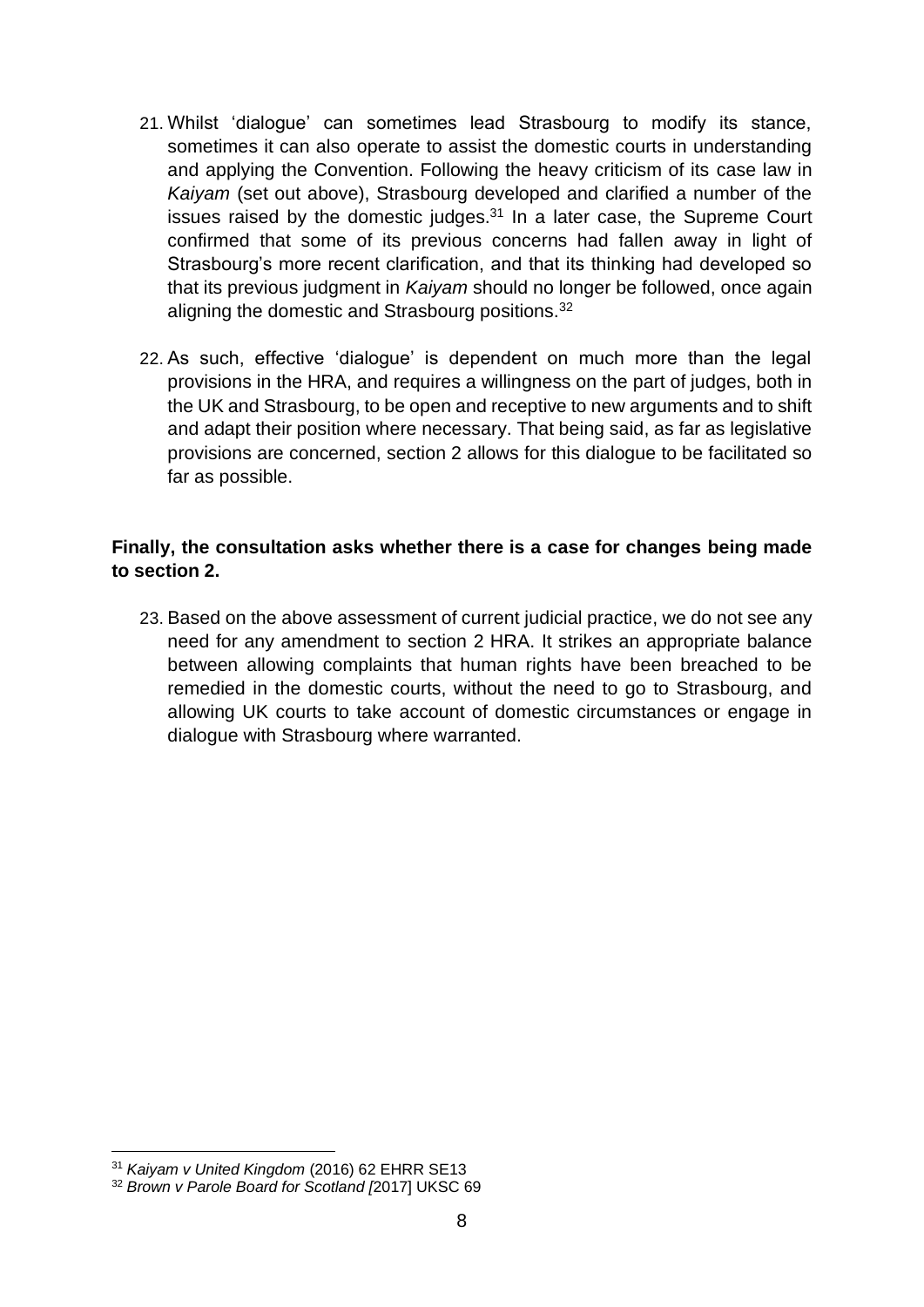- 21. Whilst 'dialogue' can sometimes lead Strasbourg to modify its stance, sometimes it can also operate to assist the domestic courts in understanding and applying the Convention. Following the heavy criticism of its case law in *Kaiyam* (set out above), Strasbourg developed and clarified a number of the issues raised by the domestic judges.<sup>31</sup> In a later case, the Supreme Court confirmed that some of its previous concerns had fallen away in light of Strasbourg's more recent clarification, and that its thinking had developed so that its previous judgment in *Kaiyam* should no longer be followed, once again aligning the domestic and Strasbourg positions.<sup>32</sup>
- 22. As such, effective 'dialogue' is dependent on much more than the legal provisions in the HRA, and requires a willingness on the part of judges, both in the UK and Strasbourg, to be open and receptive to new arguments and to shift and adapt their position where necessary. That being said, as far as legislative provisions are concerned, section 2 allows for this dialogue to be facilitated so far as possible.

#### **Finally, the consultation asks whether there is a case for changes being made to section 2.**

23. Based on the above assessment of current judicial practice, we do not see any need for any amendment to section 2 HRA. It strikes an appropriate balance between allowing complaints that human rights have been breached to be remedied in the domestic courts, without the need to go to Strasbourg, and allowing UK courts to take account of domestic circumstances or engage in dialogue with Strasbourg where warranted.

<sup>31</sup> *Kaiyam v United Kingdom* (2016) 62 EHRR SE13

<sup>32</sup> *Brown v Parole Board for Scotland [*2017] UKSC 69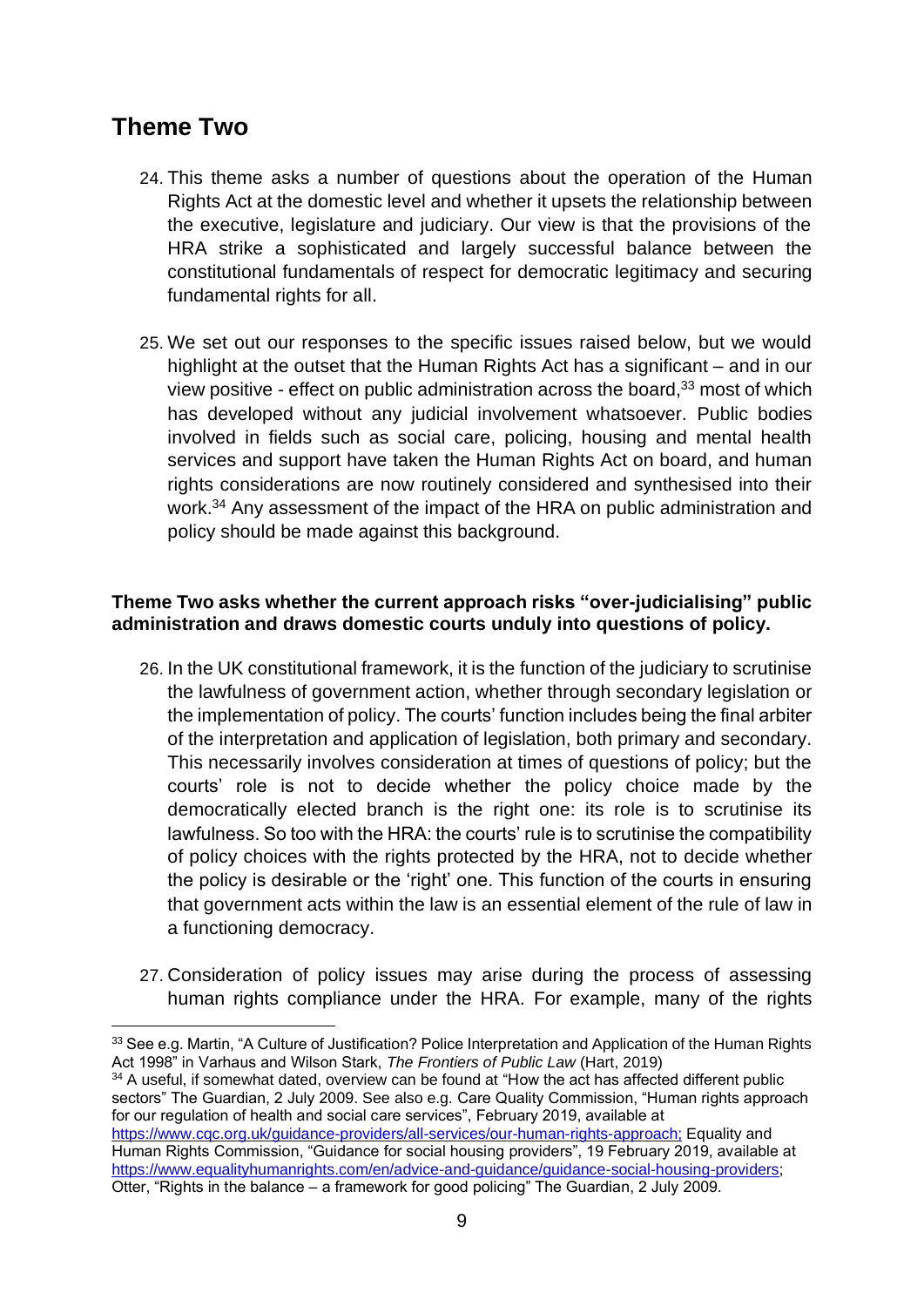### **Theme Two**

- 24. This theme asks a number of questions about the operation of the Human Rights Act at the domestic level and whether it upsets the relationship between the executive, legislature and judiciary. Our view is that the provisions of the HRA strike a sophisticated and largely successful balance between the constitutional fundamentals of respect for democratic legitimacy and securing fundamental rights for all.
- 25. We set out our responses to the specific issues raised below, but we would highlight at the outset that the Human Rights Act has a significant – and in our view positive - effect on public administration across the board, $33$  most of which has developed without any judicial involvement whatsoever. Public bodies involved in fields such as social care, policing, housing and mental health services and support have taken the Human Rights Act on board, and human rights considerations are now routinely considered and synthesised into their work.<sup>34</sup> Any assessment of the impact of the HRA on public administration and policy should be made against this background.

#### **Theme Two asks whether the current approach risks "over-judicialising" public administration and draws domestic courts unduly into questions of policy.**

- 26. In the UK constitutional framework, it is the function of the judiciary to scrutinise the lawfulness of government action, whether through secondary legislation or the implementation of policy. The courts' function includes being the final arbiter of the interpretation and application of legislation, both primary and secondary. This necessarily involves consideration at times of questions of policy; but the courts' role is not to decide whether the policy choice made by the democratically elected branch is the right one: its role is to scrutinise its lawfulness. So too with the HRA: the courts' rule is to scrutinise the compatibility of policy choices with the rights protected by the HRA, not to decide whether the policy is desirable or the 'right' one. This function of the courts in ensuring that government acts within the law is an essential element of the rule of law in a functioning democracy.
- 27. Consideration of policy issues may arise during the process of assessing human rights compliance under the HRA. For example, many of the rights

 $34$  A useful, if somewhat dated, overview can be found at "How the act has affected different public sectors" The Guardian, 2 July 2009. See also e.g. Care Quality Commission, "Human rights approach for our regulation of health and social care services", February 2019, available at <https://www.cqc.org.uk/guidance-providers/all-services/our-human-rights-approach;> Equality and Human Rights Commission, "Guidance for social housing providers", 19 February 2019, available at [https://www.equalityhumanrights.com/en/advice-and-guidance/guidance-social-housing-providers;](https://www.equalityhumanrights.com/en/advice-and-guidance/guidance-social-housing-providers) Otter, "Rights in the balance – a framework for good policing" The Guardian, 2 July 2009.

<sup>&</sup>lt;sup>33</sup> See e.g. Martin, "A Culture of Justification? Police Interpretation and Application of the Human Rights Act 1998" in Varhaus and Wilson Stark, *The Frontiers of Public Law* (Hart, 2019)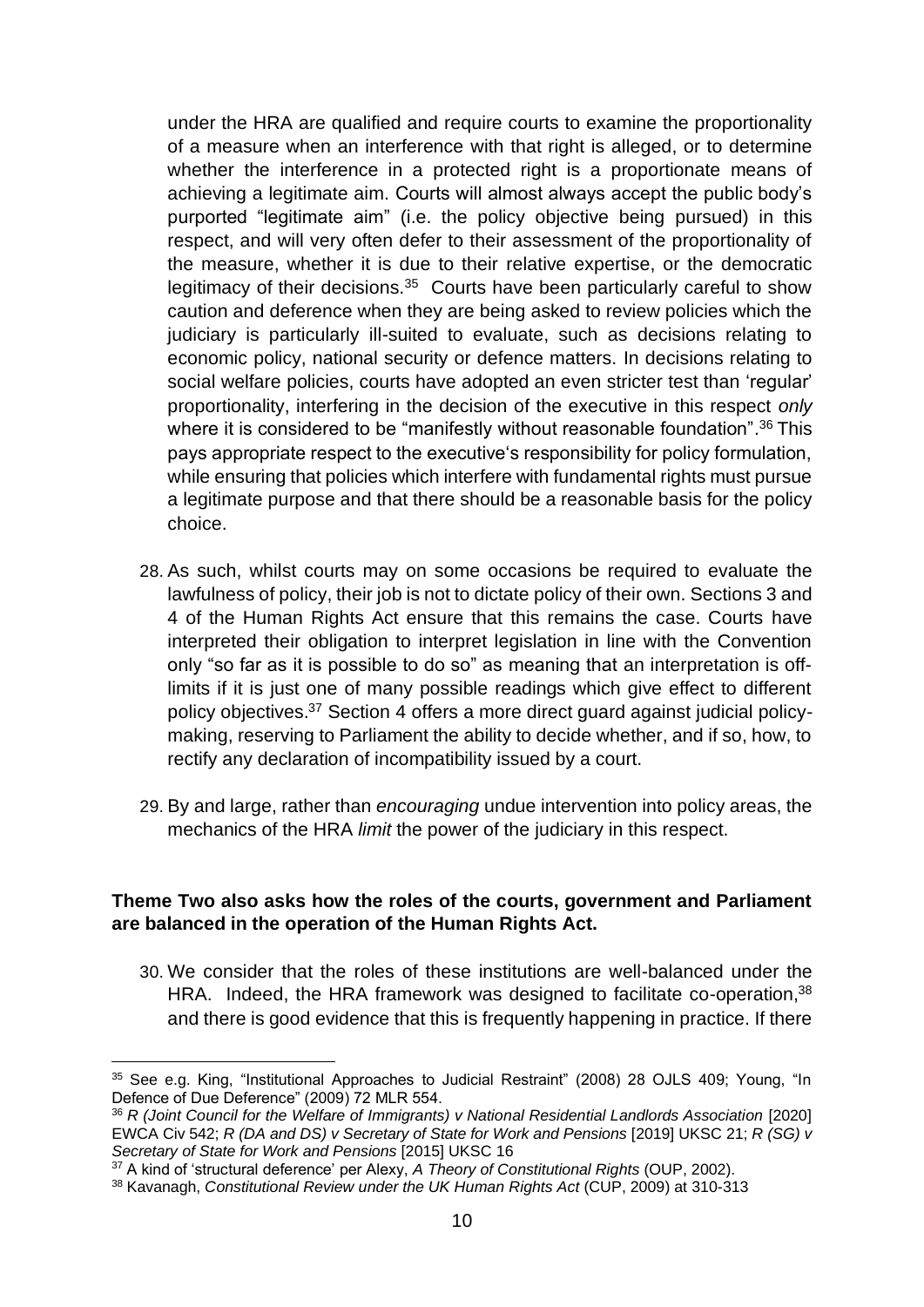under the HRA are qualified and require courts to examine the proportionality of a measure when an interference with that right is alleged, or to determine whether the interference in a protected right is a proportionate means of achieving a legitimate aim. Courts will almost always accept the public body's purported "legitimate aim" (i.e. the policy objective being pursued) in this respect, and will very often defer to their assessment of the proportionality of the measure, whether it is due to their relative expertise, or the democratic legitimacy of their decisions.<sup>35</sup> Courts have been particularly careful to show caution and deference when they are being asked to review policies which the judiciary is particularly ill-suited to evaluate, such as decisions relating to economic policy, national security or defence matters. In decisions relating to social welfare policies, courts have adopted an even stricter test than 'regular' proportionality, interfering in the decision of the executive in this respect *only* where it is considered to be "manifestly without reasonable foundation".<sup>36</sup> This pays appropriate respect to the executive's responsibility for policy formulation, while ensuring that policies which interfere with fundamental rights must pursue a legitimate purpose and that there should be a reasonable basis for the policy choice.

- 28. As such, whilst courts may on some occasions be required to evaluate the lawfulness of policy, their job is not to dictate policy of their own. Sections 3 and 4 of the Human Rights Act ensure that this remains the case. Courts have interpreted their obligation to interpret legislation in line with the Convention only "so far as it is possible to do so" as meaning that an interpretation is offlimits if it is just one of many possible readings which give effect to different policy objectives.<sup>37</sup> Section 4 offers a more direct guard against judicial policymaking, reserving to Parliament the ability to decide whether, and if so, how, to rectify any declaration of incompatibility issued by a court.
- 29. By and large, rather than *encouraging* undue intervention into policy areas, the mechanics of the HRA *limit* the power of the judiciary in this respect.

#### **Theme Two also asks how the roles of the courts, government and Parliament are balanced in the operation of the Human Rights Act.**

30. We consider that the roles of these institutions are well-balanced under the HRA. Indeed, the HRA framework was designed to facilitate co-operation,<sup>38</sup> and there is good evidence that this is frequently happening in practice. If there

<sup>&</sup>lt;sup>35</sup> See e.g. King, "Institutional Approaches to Judicial Restraint" (2008) 28 OJLS 409; Young, "In Defence of Due Deference" (2009) 72 MLR 554.

<sup>36</sup> *R (Joint Council for the Welfare of Immigrants) v National Residential Landlords Association* [2020] EWCA Civ 542; *R (DA and DS) v Secretary of State for Work and Pensions* [2019] UKSC 21; *R (SG) v Secretary of State for Work and Pensions* [2015] UKSC 16

<sup>37</sup> A kind of 'structural deference' per Alexy, *A Theory of Constitutional Rights* (OUP, 2002).

<sup>38</sup> Kavanagh, *Constitutional Review under the UK Human Rights Act* (CUP, 2009) at 310-313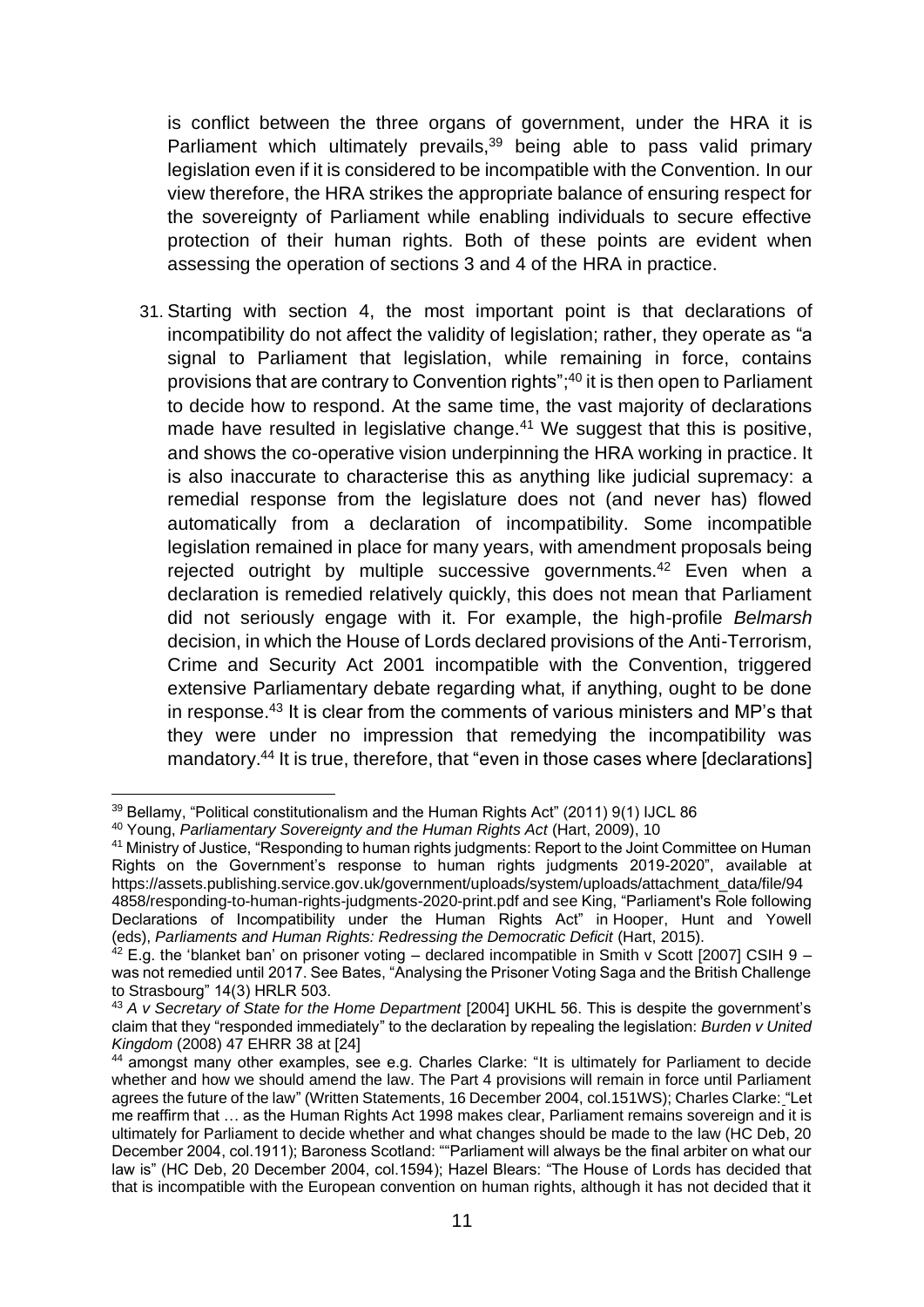is conflict between the three organs of government, under the HRA it is Parliament which ultimately prevails,<sup>39</sup> being able to pass valid primary legislation even if it is considered to be incompatible with the Convention. In our view therefore, the HRA strikes the appropriate balance of ensuring respect for the sovereignty of Parliament while enabling individuals to secure effective protection of their human rights. Both of these points are evident when assessing the operation of sections 3 and 4 of the HRA in practice.

31. Starting with section 4, the most important point is that declarations of incompatibility do not affect the validity of legislation; rather, they operate as "a signal to Parliament that legislation, while remaining in force, contains provisions that are contrary to Convention rights"; <sup>40</sup> it is then open to Parliament to decide how to respond. At the same time, the vast majority of declarations made have resulted in legislative change.<sup>41</sup> We suggest that this is positive, and shows the co-operative vision underpinning the HRA working in practice. It is also inaccurate to characterise this as anything like judicial supremacy: a remedial response from the legislature does not (and never has) flowed automatically from a declaration of incompatibility. Some incompatible legislation remained in place for many years, with amendment proposals being rejected outright by multiple successive governments.<sup>42</sup> Even when a declaration is remedied relatively quickly, this does not mean that Parliament did not seriously engage with it. For example, the high-profile *Belmarsh*  decision, in which the House of Lords declared provisions of the Anti-Terrorism, Crime and Security Act 2001 incompatible with the Convention, triggered extensive Parliamentary debate regarding what, if anything, ought to be done in response.<sup>43</sup> It is clear from the comments of various ministers and MP's that they were under no impression that remedying the incompatibility was mandatory.<sup>44</sup> It is true, therefore, that "even in those cases where [declarations]

<sup>&</sup>lt;sup>39</sup> Bellamy, "Political constitutionalism and the Human Rights Act" (2011) 9(1) IJCL 86

<sup>40</sup> Young, *Parliamentary Sovereignty and the Human Rights Act* (Hart, 2009), 10

<sup>41</sup> Ministry of Justice, "Responding to human rights judgments: Report to the Joint Committee on Human Rights on the Government's response to human rights judgments 2019-2020", available at https://assets.publishing.service.gov.uk/government/uploads/system/uploads/attachment\_data/file/94 4858/responding-to-human-rights-judgments-2020-print.pdf and see King, "Parliament's Role following Declarations of Incompatibility under the Human Rights Act" in Hooper, Hunt and Yowell (eds), *Parliaments and Human Rights: Redressing the Democratic Deficit* (Hart, 2015).

 $42$  E.g. the 'blanket ban' on prisoner voting – declared incompatible in Smith v Scott [2007] CSIH 9 – was not remedied until 2017. See Bates, "Analysing the Prisoner Voting Saga and the British Challenge to Strasbourg" 14(3) HRLR 503.

<sup>43</sup> *A v Secretary of State for the Home Department* [2004] UKHL 56. This is despite the government's claim that they "responded immediately" to the declaration by repealing the legislation: *Burden v United Kingdom* (2008) 47 EHRR 38 at [24]

<sup>44</sup> amongst many other examples, see e.g. Charles Clarke: "It is ultimately for Parliament to decide whether and how we should amend the law. The Part 4 provisions will remain in force until Parliament agrees the future of the law" (Written Statements, 16 December 2004, col.151WS); Charles Clarke: "Let me reaffirm that … as the [Human Rights Act 1998](https://en.wikipedia.org/wiki/Human_Rights_Act_1998) makes clear, Parliament remains sovereign and it is ultimately for Parliament to decide whether and what changes should be made to the law (HC Deb, 20 December 2004, col.1911); Baroness Scotland: ""Parliament will always be the final arbiter on what our law is" (HC Deb, 20 December 2004, col.1594); Hazel Blears: "The House of Lords has decided that that is incompatible with the European convention on human rights, although it has not decided that it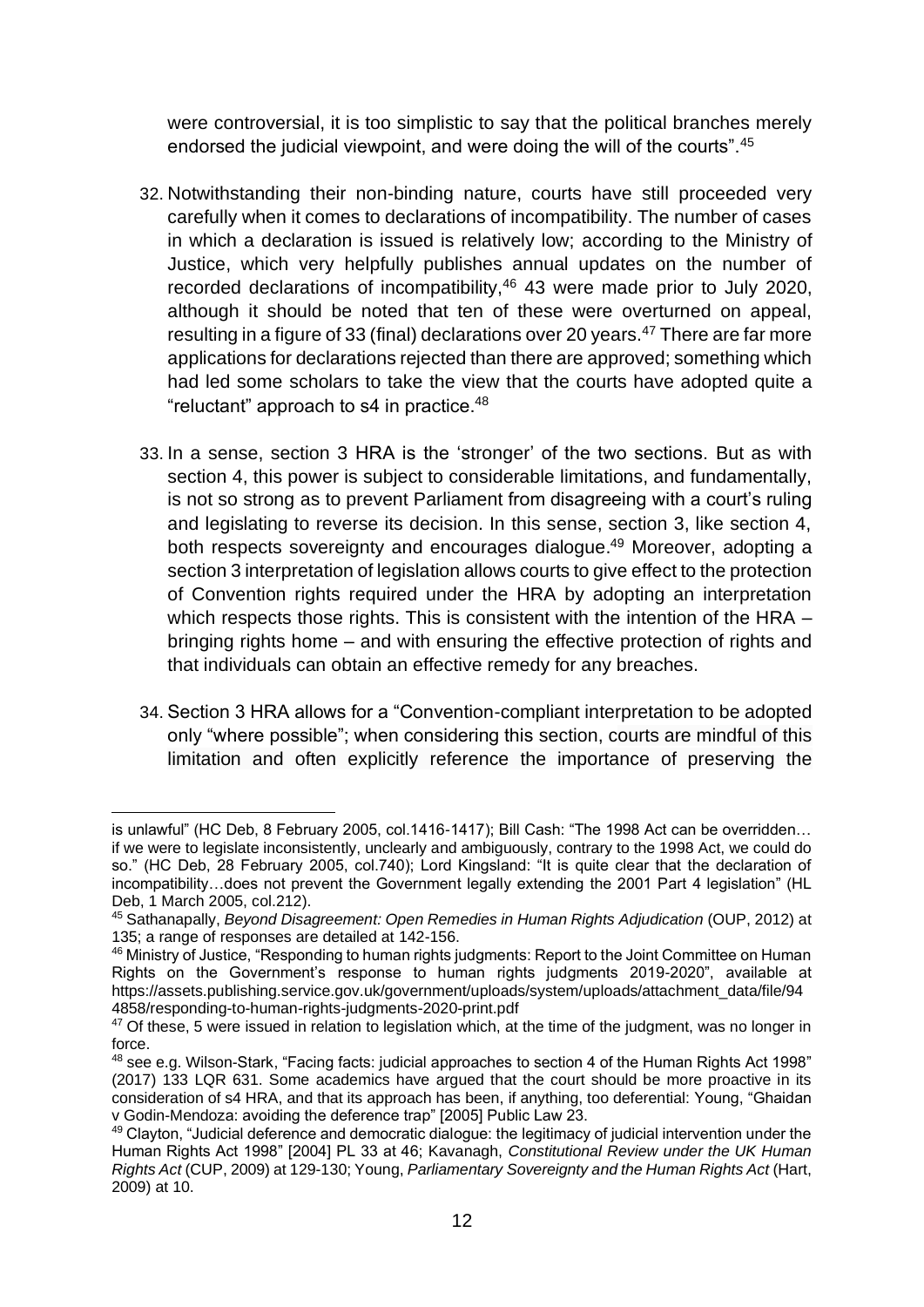were controversial, it is too simplistic to say that the political branches merely endorsed the judicial viewpoint, and were doing the will of the courts".<sup>45</sup>

- 32. Notwithstanding their non-binding nature, courts have still proceeded very carefully when it comes to declarations of incompatibility. The number of cases in which a declaration is issued is relatively low; according to the Ministry of Justice, which very helpfully publishes annual updates on the number of recorded declarations of incompatibility,<sup>46</sup> 43 were made prior to July 2020, although it should be noted that ten of these were overturned on appeal, resulting in a figure of 33 (final) declarations over 20 years.<sup>47</sup> There are far more applications for declarations rejected than there are approved; something which had led some scholars to take the view that the courts have adopted quite a "reluctant" approach to s4 in practice.<sup>48</sup>
- 33. In a sense, section 3 HRA is the 'stronger' of the two sections. But as with section 4, this power is subject to considerable limitations, and fundamentally, is not so strong as to prevent Parliament from disagreeing with a court's ruling and legislating to reverse its decision. In this sense, section 3, like section 4, both respects sovereignty and encourages dialogue. <sup>49</sup> Moreover, adopting a section 3 interpretation of legislation allows courts to give effect to the protection of Convention rights required under the HRA by adopting an interpretation which respects those rights. This is consistent with the intention of the HRA – bringing rights home – and with ensuring the effective protection of rights and that individuals can obtain an effective remedy for any breaches.
- 34. Section 3 HRA allows for a "Convention-compliant interpretation to be adopted only "where possible"; when considering this section, courts are mindful of this limitation and often explicitly reference the importance of preserving the

is unlawful" (HC Deb, 8 February 2005, col.1416-1417); Bill Cash: "The 1998 Act can be overridden… if we were to legislate inconsistently, unclearly and ambiguously, contrary to the 1998 Act, we could do so." (HC Deb, 28 February 2005, col.740); Lord Kingsland: "It is quite clear that the declaration of incompatibility…does not prevent the Government legally extending the 2001 Part 4 legislation" (HL Deb, 1 March 2005, col.212).

<sup>45</sup> Sathanapally, *Beyond Disagreement: Open Remedies in Human Rights Adjudication* (OUP, 2012) at 135; a range of responses are detailed at 142-156.

<sup>46</sup> Ministry of Justice, "Responding to human rights judgments: Report to the Joint Committee on Human Rights on the Government's response to human rights judgments 2019-2020", available at https://assets.publishing.service.gov.uk/government/uploads/system/uploads/attachment\_data/file/94 4858/responding-to-human-rights-judgments-2020-print.pdf

<sup>&</sup>lt;sup>47</sup> Of these, 5 were issued in relation to legislation which, at the time of the judgment, was no longer in force.

<sup>48</sup> see e.g. Wilson-Stark, "Facing facts: judicial approaches to section 4 of the Human Rights Act 1998" (2017) 133 LQR 631. Some academics have argued that the court should be more proactive in its consideration of s4 HRA, and that its approach has been, if anything, too deferential: Young, "Ghaidan v Godin-Mendoza: avoiding the deference trap" [2005] Public Law 23.

<sup>49</sup> Clayton, "Judicial deference and democratic dialogue: the legitimacy of judicial intervention under the Human Rights Act 1998" [2004] PL 33 at 46; Kavanagh, *Constitutional Review under the UK Human Rights Act* (CUP, 2009) at 129-130; Young, *Parliamentary Sovereignty and the Human Rights Act* (Hart, 2009) at 10.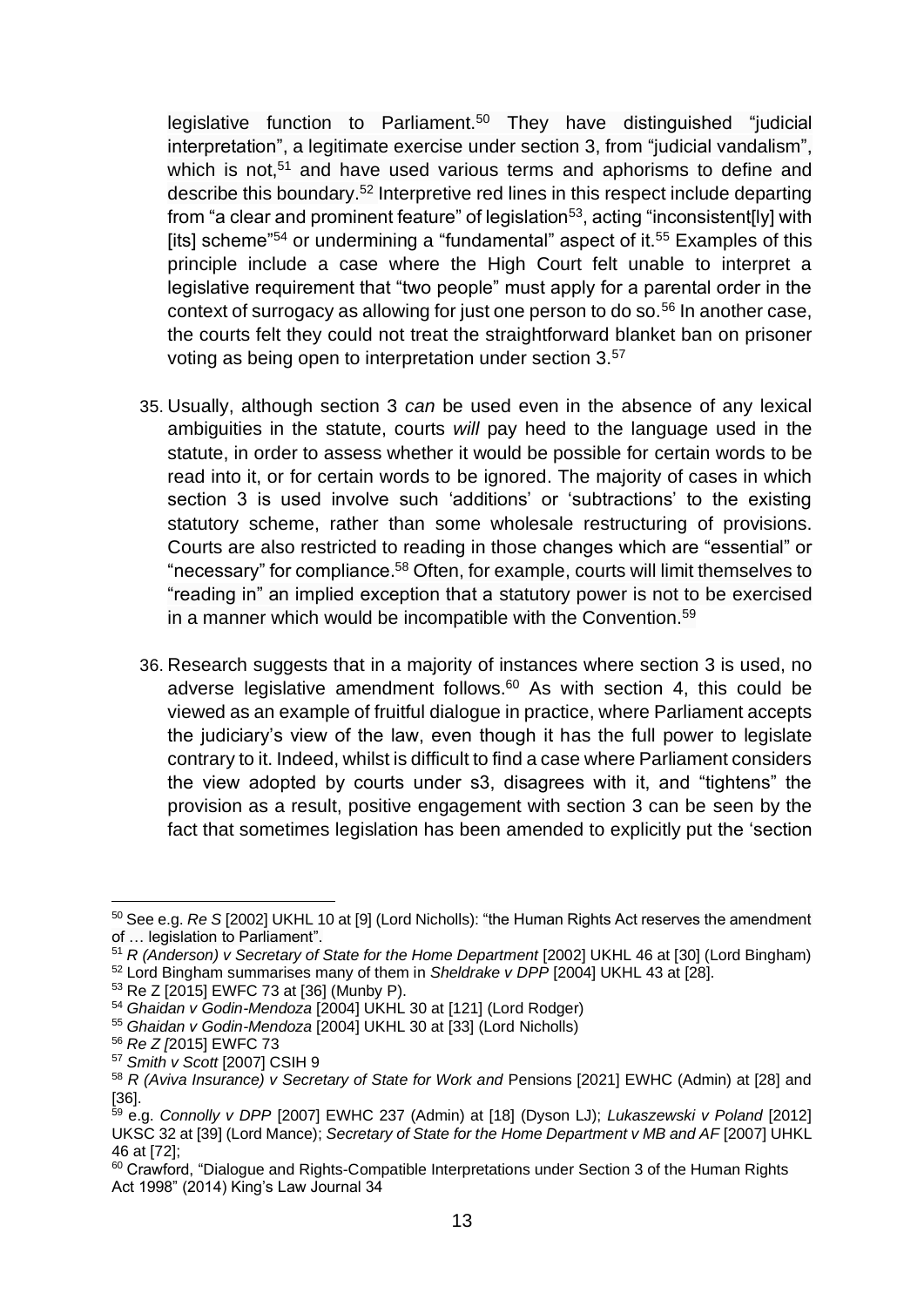legislative function to Parliament.<sup>50</sup> They have distinguished "judicial interpretation", a legitimate exercise under section 3, from "judicial vandalism", which is not.<sup>51</sup> and have used various terms and aphorisms to define and describe this boundary. <sup>52</sup> Interpretive red lines in this respect include departing from "a clear and prominent feature" of legislation<sup>53</sup>, acting "inconsistent[ly] with [its] scheme<sup>"54</sup> or undermining a "fundamental" aspect of it.<sup>55</sup> Examples of this principle include a case where the High Court felt unable to interpret a legislative requirement that "two people" must apply for a parental order in the context of surrogacy as allowing for just one person to do so.<sup>56</sup> In another case, the courts felt they could not treat the straightforward blanket ban on prisoner voting as being open to interpretation under section 3.<sup>57</sup>

- 35. Usually, although section 3 *can* be used even in the absence of any lexical ambiguities in the statute, courts *will* pay heed to the language used in the statute, in order to assess whether it would be possible for certain words to be read into it, or for certain words to be ignored. The majority of cases in which section 3 is used involve such 'additions' or 'subtractions' to the existing statutory scheme, rather than some wholesale restructuring of provisions. Courts are also restricted to reading in those changes which are "essential" or "necessary" for compliance. <sup>58</sup> Often, for example, courts will limit themselves to "reading in" an implied exception that a statutory power is not to be exercised in a manner which would be incompatible with the Convention.<sup>59</sup>
- 36. Research suggests that in a majority of instances where section 3 is used, no adverse legislative amendment follows.<sup>60</sup> As with section 4, this could be viewed as an example of fruitful dialogue in practice, where Parliament accepts the judiciary's view of the law, even though it has the full power to legislate contrary to it. Indeed, whilst is difficult to find a case where Parliament considers the view adopted by courts under s3, disagrees with it, and "tightens" the provision as a result, positive engagement with section 3 can be seen by the fact that sometimes legislation has been amended to explicitly put the 'section

<sup>50</sup> See e.g. *Re S* [2002] UKHL 10 at [9] (Lord Nicholls): "the Human Rights Act reserves the amendment of … legislation to Parliament".

<sup>51</sup> *R (Anderson) v Secretary of State for the Home Department* [2002] UKHL 46 at [30] (Lord Bingham)

<sup>52</sup> Lord Bingham summarises many of them in *Sheldrake v DPP* [2004] UKHL 43 at [28].

<sup>53</sup> Re Z [2015] EWFC 73 at [36] (Munby P).

<sup>54</sup> *Ghaidan v Godin-Mendoza* [2004] UKHL 30 at [121] (Lord Rodger)

<sup>55</sup> *Ghaidan v Godin-Mendoza* [2004] UKHL 30 at [33] (Lord Nicholls)

<sup>56</sup> *Re Z [*2015] EWFC 73

<sup>57</sup> *Smith v Scott* [2007] CSIH 9

<sup>58</sup> *R (Aviva Insurance) v Secretary of State for Work and* Pensions [2021] EWHC (Admin) at [28] and [36].

<sup>59</sup> e.g. *Connolly v DPP* [2007] EWHC 237 (Admin) at [18] (Dyson LJ); *Lukaszewski v Poland* [2012] UKSC 32 at [39] (Lord Mance); *Secretary of State for the Home Department v MB and AF* [2007] UHKL 46 at [72];

<sup>&</sup>lt;sup>60</sup> Crawford, "Dialogue and Rights-Compatible Interpretations under Section 3 of the Human Rights Act 1998" (2014) King's Law Journal 34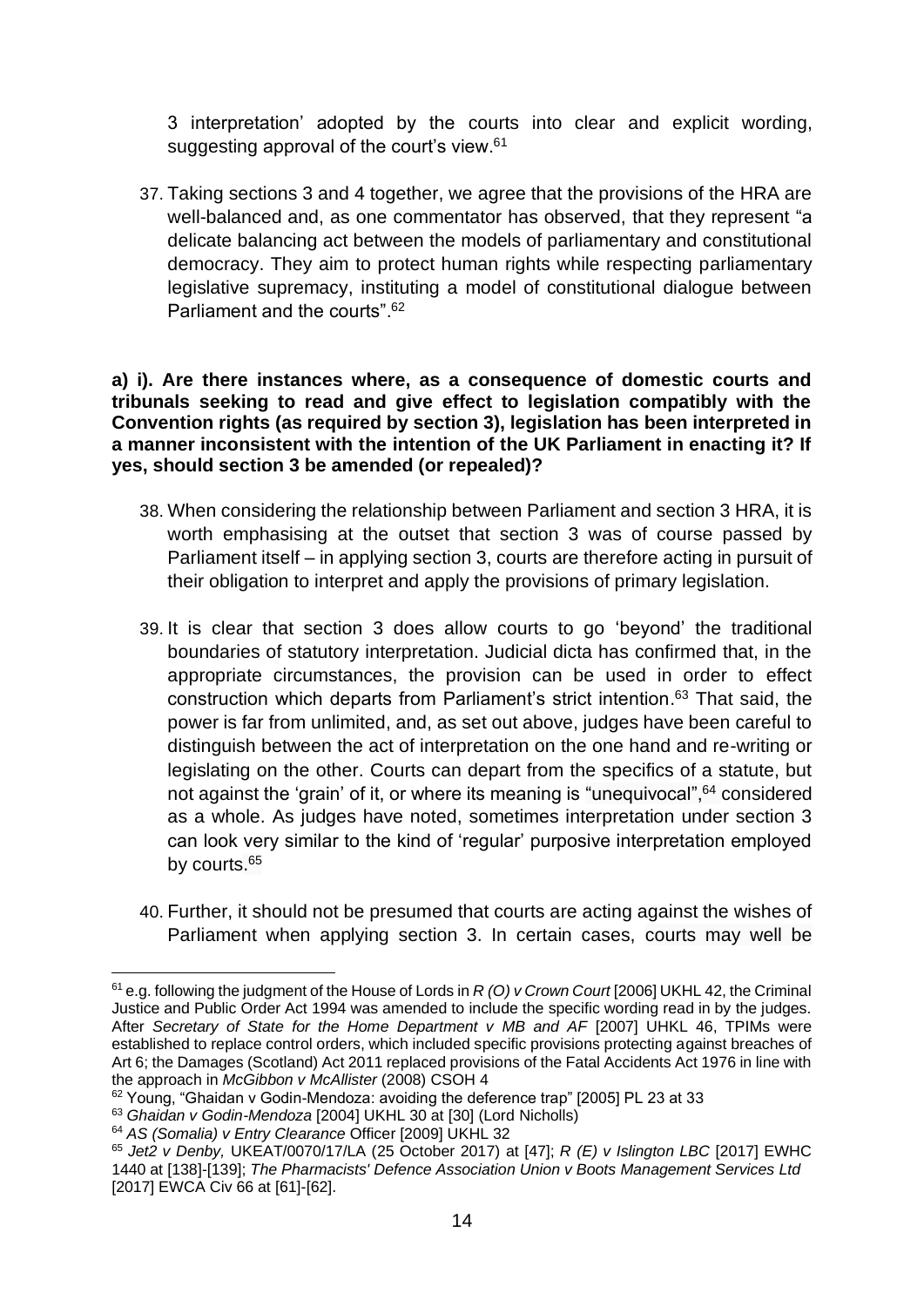3 interpretation' adopted by the courts into clear and explicit wording, suggesting approval of the court's view.<sup>61</sup>

37. Taking sections 3 and 4 together, we agree that the provisions of the HRA are well-balanced and, as one commentator has observed, that they represent "a delicate balancing act between the models of parliamentary and constitutional democracy. They aim to protect human rights while respecting parliamentary legislative supremacy, instituting a model of constitutional dialogue between Parliament and the courts". 62

**a) i). Are there instances where, as a consequence of domestic courts and tribunals seeking to read and give effect to legislation compatibly with the Convention rights (as required by section 3), legislation has been interpreted in a manner inconsistent with the intention of the UK Parliament in enacting it? If yes, should section 3 be amended (or repealed)?** 

- 38. When considering the relationship between Parliament and section 3 HRA, it is worth emphasising at the outset that section 3 was of course passed by Parliament itself – in applying section 3, courts are therefore acting in pursuit of their obligation to interpret and apply the provisions of primary legislation.
- 39. It is clear that section 3 does allow courts to go 'beyond' the traditional boundaries of statutory interpretation. Judicial dicta has confirmed that, in the appropriate circumstances, the provision can be used in order to effect construction which departs from Parliament's strict intention. <sup>63</sup> That said, the power is far from unlimited, and, as set out above, judges have been careful to distinguish between the act of interpretation on the one hand and re-writing or legislating on the other. Courts can depart from the specifics of a statute, but not against the 'grain' of it, or where its meaning is "unequivocal", <sup>64</sup> considered as a whole. As judges have noted, sometimes interpretation under section 3 can look very similar to the kind of 'regular' purposive interpretation employed by courts.<sup>65</sup>
- 40. Further, it should not be presumed that courts are acting against the wishes of Parliament when applying section 3. In certain cases, courts may well be

<sup>61</sup> e.g. following the judgment of the House of Lords in *R (O) v Crown Court* [2006] UKHL 42, the Criminal Justice and Public Order Act 1994 was amended to include the specific wording read in by the judges. After *Secretary of State for the Home Department v MB and AF* [2007] UHKL 46, TPIMs were established to replace control orders, which included specific provisions protecting against breaches of Art 6; the Damages (Scotland) Act 2011 replaced provisions of the Fatal Accidents Act 1976 in line with the approach in *McGibbon v McAllister* (2008) CSOH 4

<sup>62</sup> Young, "Ghaidan v Godin-Mendoza: avoiding the deference trap" [2005] PL 23 at 33

<sup>63</sup> *Ghaidan v Godin-Mendoza* [2004] UKHL 30 at [30] (Lord Nicholls)

<sup>64</sup> *AS (Somalia) v Entry Clearance* Officer [2009] UKHL 32

<sup>65</sup> *Jet2 v Denby,* UKEAT/0070/17/LA (25 October 2017) at [47]; *R (E) v Islington LBC* [2017] EWHC 1440 at [138]-[139]; *The Pharmacists' Defence Association Union v Boots Management Services Ltd* [2017] EWCA Civ 66 at [61]-[62].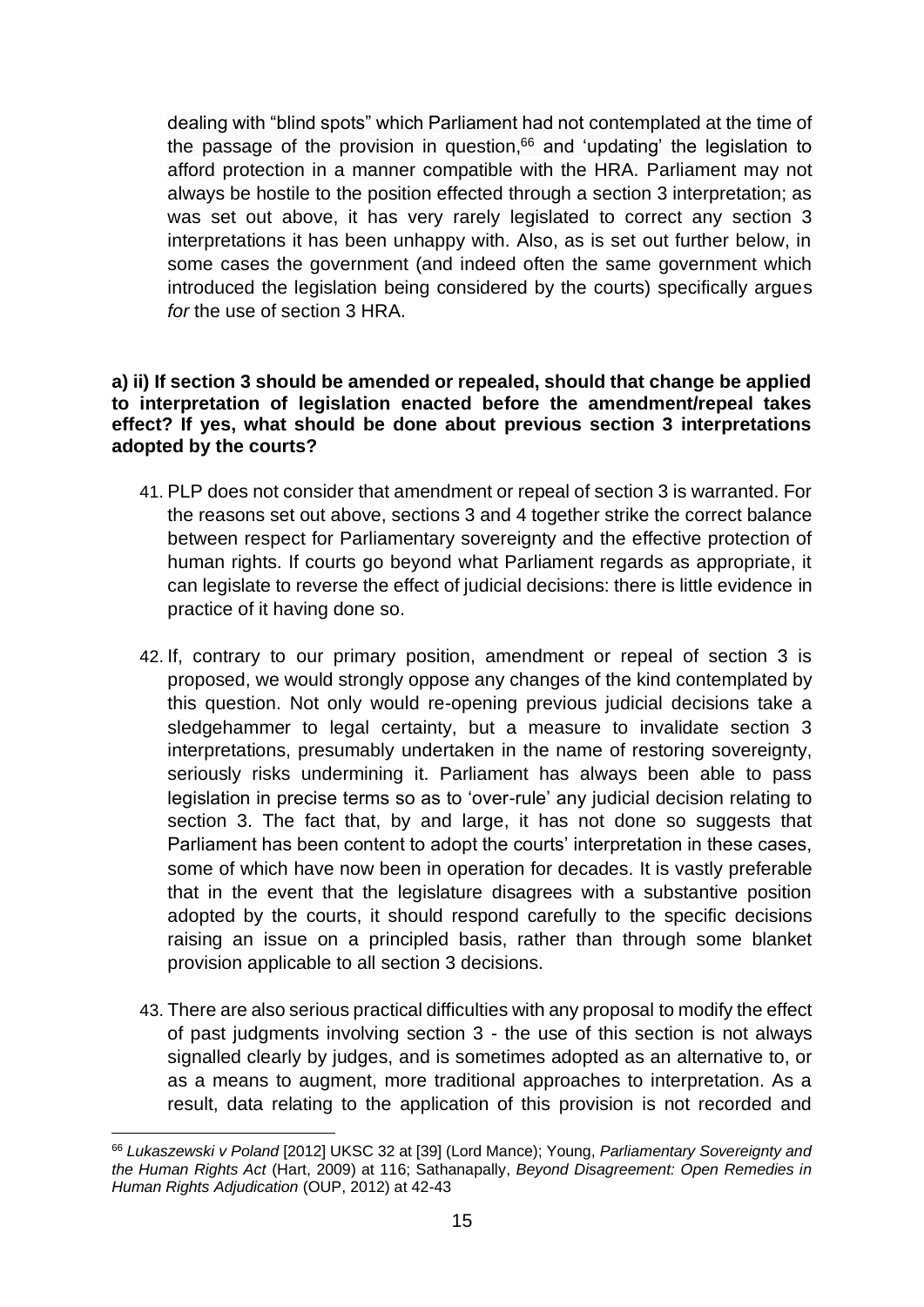dealing with "blind spots" which Parliament had not contemplated at the time of the passage of the provision in question, $66$  and 'updating' the legislation to afford protection in a manner compatible with the HRA. Parliament may not always be hostile to the position effected through a section 3 interpretation; as was set out above, it has very rarely legislated to correct any section 3 interpretations it has been unhappy with. Also, as is set out further below, in some cases the government (and indeed often the same government which introduced the legislation being considered by the courts) specifically argues *for* the use of section 3 HRA.

#### **a) ii) If section 3 should be amended or repealed, should that change be applied to interpretation of legislation enacted before the amendment/repeal takes effect? If yes, what should be done about previous section 3 interpretations adopted by the courts?**

- 41. PLP does not consider that amendment or repeal of section 3 is warranted. For the reasons set out above, sections 3 and 4 together strike the correct balance between respect for Parliamentary sovereignty and the effective protection of human rights. If courts go beyond what Parliament regards as appropriate, it can legislate to reverse the effect of judicial decisions: there is little evidence in practice of it having done so.
- 42. If, contrary to our primary position, amendment or repeal of section 3 is proposed, we would strongly oppose any changes of the kind contemplated by this question. Not only would re-opening previous judicial decisions take a sledgehammer to legal certainty, but a measure to invalidate section 3 interpretations, presumably undertaken in the name of restoring sovereignty, seriously risks undermining it. Parliament has always been able to pass legislation in precise terms so as to 'over-rule' any judicial decision relating to section 3. The fact that, by and large, it has not done so suggests that Parliament has been content to adopt the courts' interpretation in these cases, some of which have now been in operation for decades. It is vastly preferable that in the event that the legislature disagrees with a substantive position adopted by the courts, it should respond carefully to the specific decisions raising an issue on a principled basis, rather than through some blanket provision applicable to all section 3 decisions.
- 43. There are also serious practical difficulties with any proposal to modify the effect of past judgments involving section 3 - the use of this section is not always signalled clearly by judges, and is sometimes adopted as an alternative to, or as a means to augment, more traditional approaches to interpretation. As a result, data relating to the application of this provision is not recorded and

<sup>66</sup> *Lukaszewski v Poland* [2012] UKSC 32 at [39] (Lord Mance); Young, *Parliamentary Sovereignty and the Human Rights Act* (Hart, 2009) at 116; Sathanapally, *Beyond Disagreement: Open Remedies in Human Rights Adjudication* (OUP, 2012) at 42-43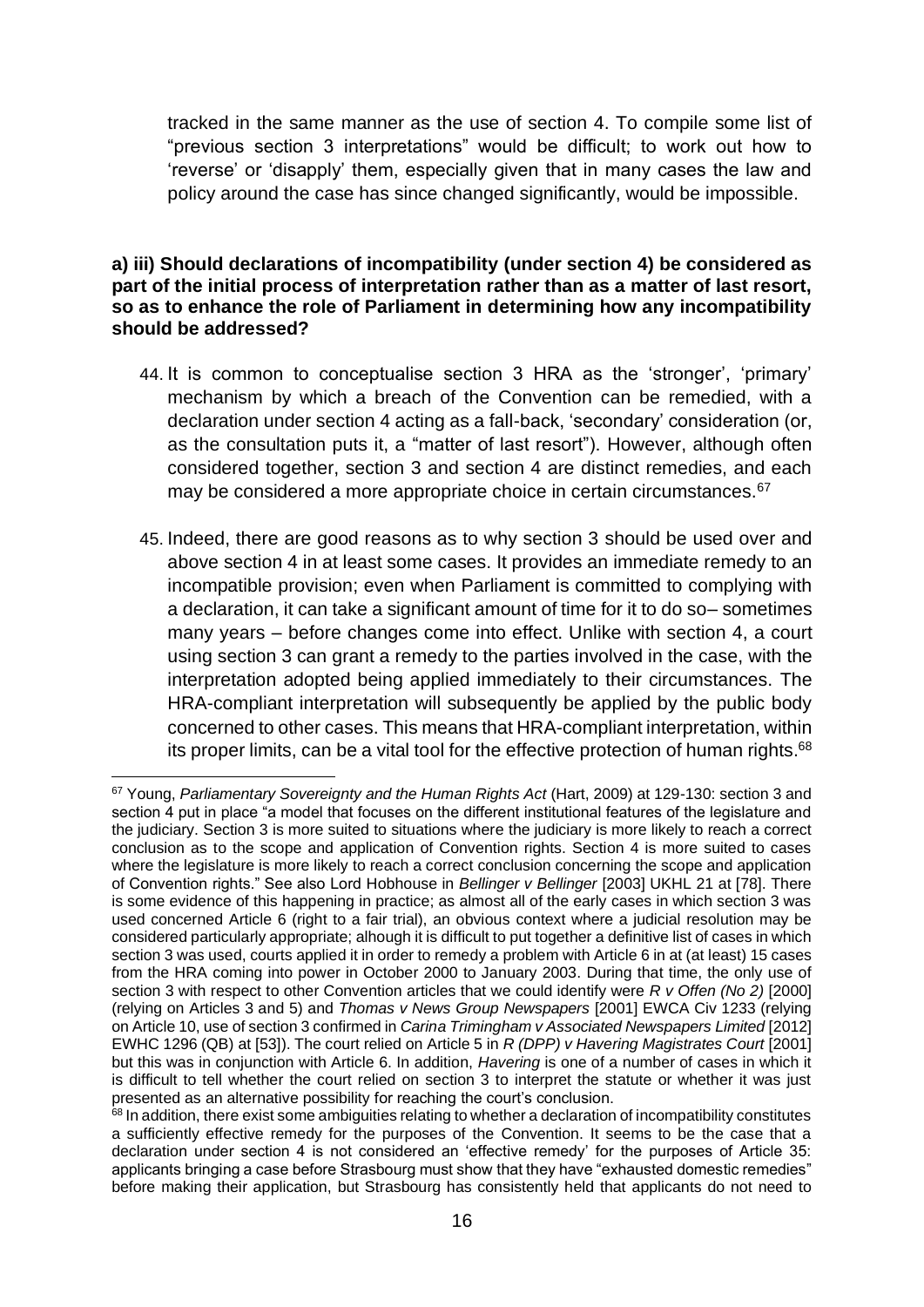tracked in the same manner as the use of section 4. To compile some list of "previous section 3 interpretations" would be difficult; to work out how to 'reverse' or 'disapply' them, especially given that in many cases the law and policy around the case has since changed significantly, would be impossible.

#### **a) iii) Should declarations of incompatibility (under section 4) be considered as part of the initial process of interpretation rather than as a matter of last resort, so as to enhance the role of Parliament in determining how any incompatibility should be addressed?**

- 44. It is common to conceptualise section 3 HRA as the 'stronger', 'primary' mechanism by which a breach of the Convention can be remedied, with a declaration under section 4 acting as a fall-back, 'secondary' consideration (or, as the consultation puts it, a "matter of last resort"). However, although often considered together, section 3 and section 4 are distinct remedies, and each may be considered a more appropriate choice in certain circumstances.<sup>67</sup>
- 45. Indeed, there are good reasons as to why section 3 should be used over and above section 4 in at least some cases. It provides an immediate remedy to an incompatible provision; even when Parliament is committed to complying with a declaration, it can take a significant amount of time for it to do so– sometimes many years – before changes come into effect. Unlike with section 4, a court using section 3 can grant a remedy to the parties involved in the case, with the interpretation adopted being applied immediately to their circumstances. The HRA-compliant interpretation will subsequently be applied by the public body concerned to other cases. This means that HRA-compliant interpretation, within its proper limits, can be a vital tool for the effective protection of human rights.<sup>68</sup>

<sup>67</sup> Young, *Parliamentary Sovereignty and the Human Rights Act* (Hart, 2009) at 129-130: section 3 and section 4 put in place "a model that focuses on the different institutional features of the legislature and the judiciary. Section 3 is more suited to situations where the judiciary is more likely to reach a correct conclusion as to the scope and application of Convention rights. Section 4 is more suited to cases where the legislature is more likely to reach a correct conclusion concerning the scope and application of Convention rights." See also Lord Hobhouse in *Bellinger v Bellinger* [2003] UKHL 21 at [78]. There is some evidence of this happening in practice; as almost all of the early cases in which section 3 was used concerned Article 6 (right to a fair trial), an obvious context where a judicial resolution may be considered particularly appropriate; alhough it is difficult to put together a definitive list of cases in which section 3 was used, courts applied it in order to remedy a problem with Article 6 in at (at least) 15 cases from the HRA coming into power in October 2000 to January 2003. During that time, the only use of section 3 with respect to other Convention articles that we could identify were *R v Offen (No 2)* [2000] (relying on Articles 3 and 5) and *Thomas v News Group Newspapers* [2001] EWCA Civ 1233 (relying on Article 10, use of section 3 confirmed in *Carina Trimingham v Associated Newspapers Limited* [2012] EWHC 1296 (QB) at [53]). The court relied on Article 5 in *R (DPP) v Havering Magistrates Court* [2001] but this was in conjunction with Article 6. In addition, *Havering* is one of a number of cases in which it is difficult to tell whether the court relied on section 3 to interpret the statute or whether it was just presented as an alternative possibility for reaching the court's conclusion.

<sup>&</sup>lt;sup>68</sup> In addition, there exist some ambiguities relating to whether a declaration of incompatibility constitutes a sufficiently effective remedy for the purposes of the Convention. It seems to be the case that a declaration under section 4 is not considered an 'effective remedy' for the purposes of Article 35: applicants bringing a case before Strasbourg must show that they have "exhausted domestic remedies" before making their application, but Strasbourg has consistently held that applicants do not need to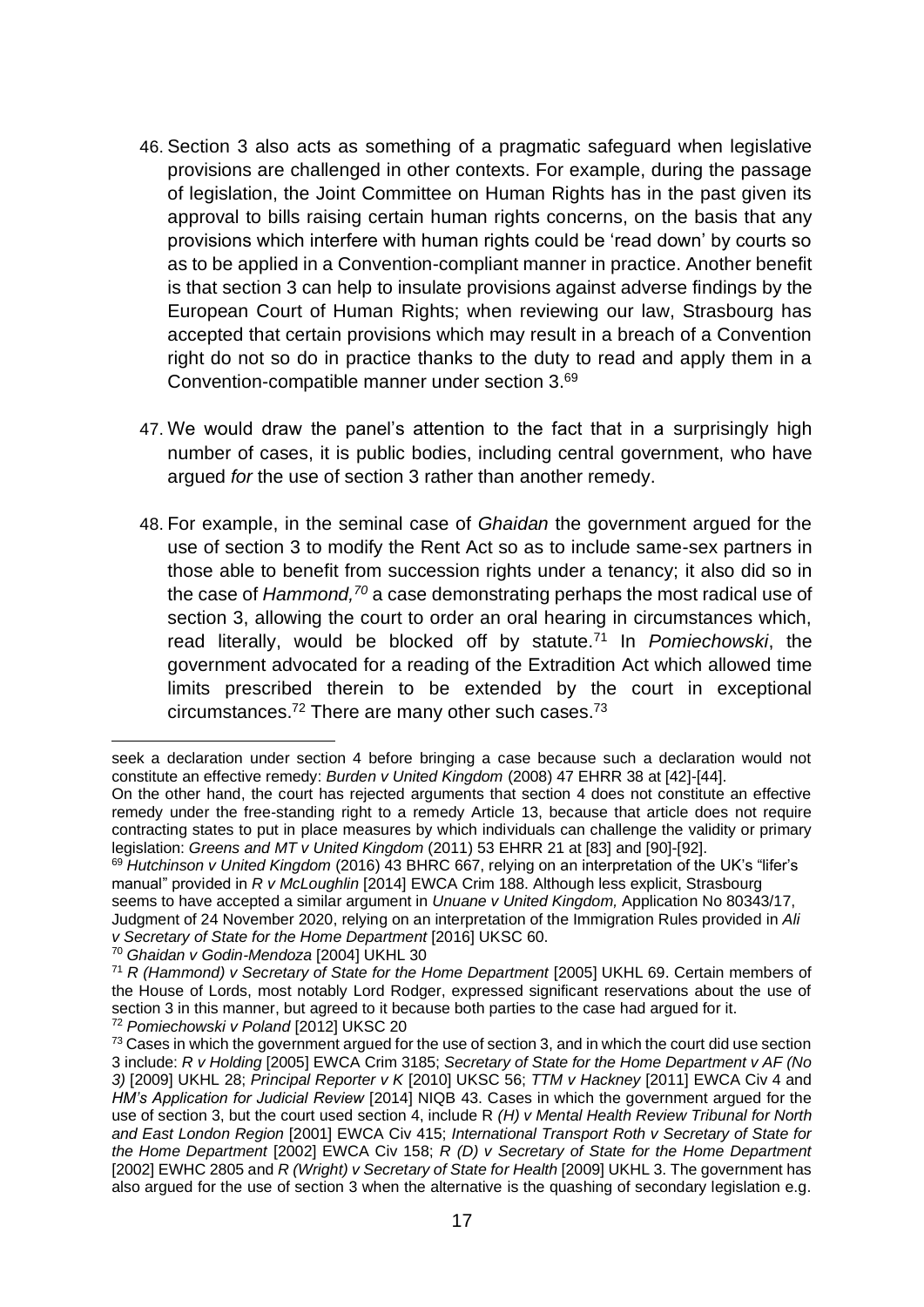- 46. Section 3 also acts as something of a pragmatic safeguard when legislative provisions are challenged in other contexts. For example, during the passage of legislation, the Joint Committee on Human Rights has in the past given its approval to bills raising certain human rights concerns, on the basis that any provisions which interfere with human rights could be 'read down' by courts so as to be applied in a Convention-compliant manner in practice. Another benefit is that section 3 can help to insulate provisions against adverse findings by the European Court of Human Rights; when reviewing our law, Strasbourg has accepted that certain provisions which may result in a breach of a Convention right do not so do in practice thanks to the duty to read and apply them in a Convention-compatible manner under section 3.<sup>69</sup>
- 47. We would draw the panel's attention to the fact that in a surprisingly high number of cases, it is public bodies, including central government, who have argued *for* the use of section 3 rather than another remedy.
- 48. For example, in the seminal case of *Ghaidan* the government argued for the use of section 3 to modify the Rent Act so as to include same-sex partners in those able to benefit from succession rights under a tenancy; it also did so in the case of *Hammond,<sup>70</sup>* a case demonstrating perhaps the most radical use of section 3, allowing the court to order an oral hearing in circumstances which, read literally, would be blocked off by statute.<sup>71</sup> In *Pomiechowski*, the government advocated for a reading of the Extradition Act which allowed time limits prescribed therein to be extended by the court in exceptional circumstances.<sup>72</sup> There are many other such cases.<sup>73</sup>

seek a declaration under section 4 before bringing a case because such a declaration would not constitute an effective remedy: *Burden v United Kingdom* (2008) 47 EHRR 38 at [42]-[44].

On the other hand, the court has rejected arguments that section 4 does not constitute an effective remedy under the free-standing right to a remedy Article 13, because that article does not require contracting states to put in place measures by which individuals can challenge the validity or primary legislation: *Greens and MT v United Kingdom* (2011) 53 EHRR 21 at [83] and [90]-[92].

<sup>69</sup> *Hutchinson v United Kingdom* (2016) 43 BHRC 667, relying on an interpretation of the UK's "lifer's manual" provided in *R v McLoughlin* [2014] EWCA Crim 188. Although less explicit, Strasbourg seems to have accepted a similar argument in *Unuane v United Kingdom,* Application No 80343/17, Judgment of 24 November 2020, relying on an interpretation of the Immigration Rules provided in *Ali* 

*v Secretary of State for the Home Department* [2016] UKSC 60.

<sup>70</sup> *Ghaidan v Godin-Mendoza* [2004] UKHL 30

<sup>71</sup> *R (Hammond) v Secretary of State for the Home Department* [2005] UKHL 69. Certain members of the House of Lords, most notably Lord Rodger, expressed significant reservations about the use of section 3 in this manner, but agreed to it because both parties to the case had argued for it. <sup>72</sup> *Pomiechowski v Poland* [2012] UKSC 20

 $73$  Cases in which the government argued for the use of section 3, and in which the court did use section 3 include: *R v Holding* [2005] EWCA Crim 3185; *Secretary of State for the Home Department v AF (No 3)* [2009] UKHL 28; *Principal Reporter v K* [2010] UKSC 56; *TTM v Hackney* [2011] EWCA Civ 4 and *HM's Application for Judicial Review* [2014] NIQB 43. Cases in which the government argued for the use of section 3, but the court used section 4, include R *(H) v Mental Health Review Tribunal for North and East London Region* [2001] EWCA Civ 415; *International Transport Roth v Secretary of State for the Home Department* [2002] EWCA Civ 158; *R (D) v Secretary of State for the Home Department* [2002] EWHC 2805 and *R (Wright) v Secretary of State for Health* [2009] UKHL 3. The government has also argued for the use of section 3 when the alternative is the quashing of secondary legislation e.g.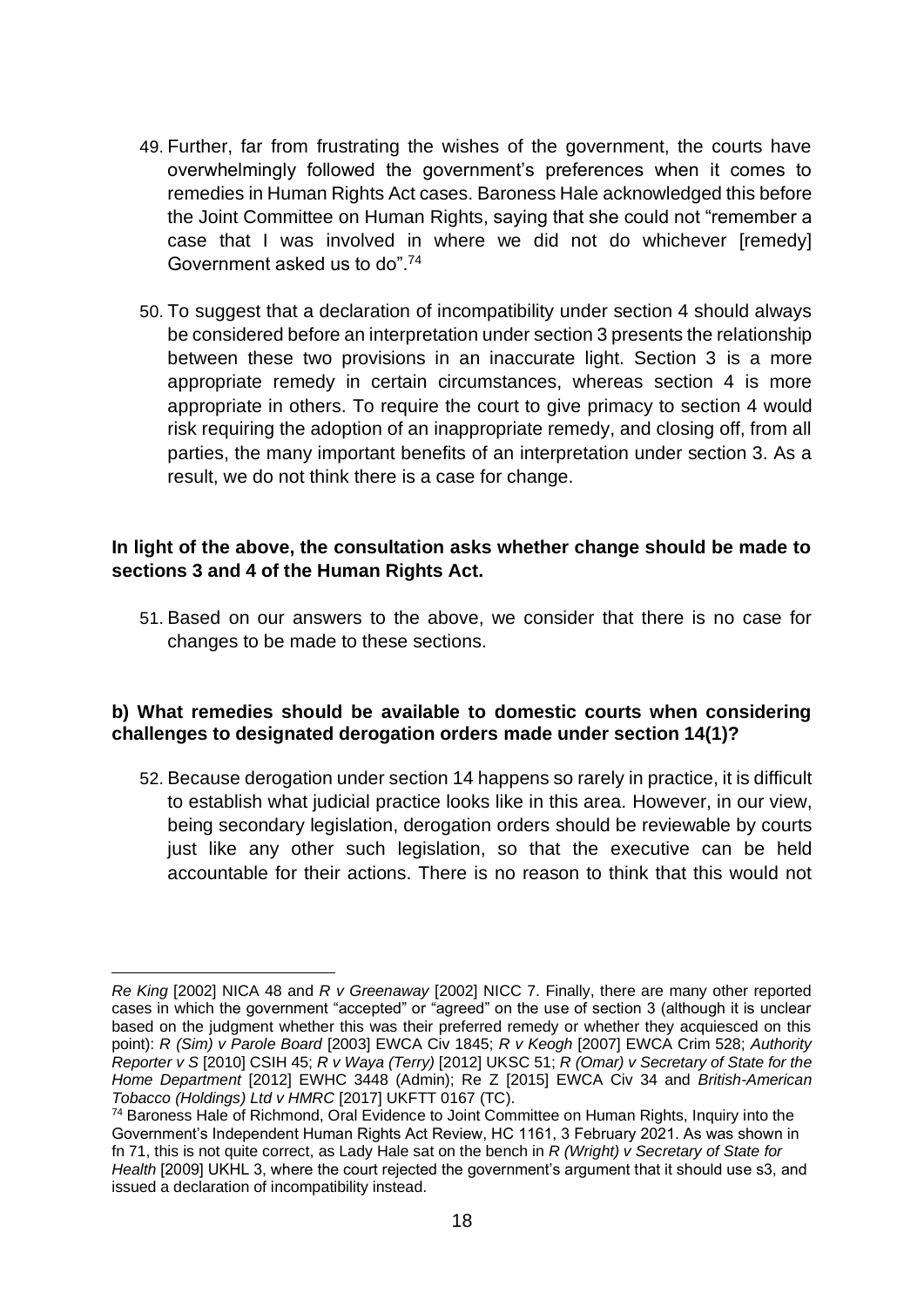- 49. Further, far from frustrating the wishes of the government, the courts have overwhelmingly followed the government's preferences when it comes to remedies in Human Rights Act cases. Baroness Hale acknowledged this before the Joint Committee on Human Rights, saying that she could not "remember a case that I was involved in where we did not do whichever [remedy] Government asked us to do".<sup>74</sup>
- 50. To suggest that a declaration of incompatibility under section 4 should always be considered before an interpretation under section 3 presents the relationship between these two provisions in an inaccurate light. Section 3 is a more appropriate remedy in certain circumstances, whereas section 4 is more appropriate in others. To require the court to give primacy to section 4 would risk requiring the adoption of an inappropriate remedy, and closing off, from all parties, the many important benefits of an interpretation under section 3. As a result, we do not think there is a case for change.

#### **In light of the above, the consultation asks whether change should be made to sections 3 and 4 of the Human Rights Act.**

51. Based on our answers to the above, we consider that there is no case for changes to be made to these sections.

#### **b) What remedies should be available to domestic courts when considering challenges to designated derogation orders made under section 14(1)?**

52. Because derogation under section 14 happens so rarely in practice, it is difficult to establish what judicial practice looks like in this area. However, in our view, being secondary legislation, derogation orders should be reviewable by courts just like any other such legislation, so that the executive can be held accountable for their actions. There is no reason to think that this would not

*Re King* [2002] NICA 48 and *R v Greenaway* [2002] NICC 7. Finally, there are many other reported cases in which the government "accepted" or "agreed" on the use of section 3 (although it is unclear based on the judgment whether this was their preferred remedy or whether they acquiesced on this point): *R (Sim) v Parole Board* [2003] EWCA Civ 1845; *R v Keogh* [2007] EWCA Crim 528; *Authority Reporter v S* [2010] CSIH 45; *R v Waya (Terry)* [2012] UKSC 51; *R (Omar) v Secretary of State for the Home Department* [2012] EWHC 3448 (Admin); Re Z [2015] EWCA Civ 34 and *British-American Tobacco (Holdings) Ltd v HMRC* [2017] UKFTT 0167 (TC).

<sup>74</sup> Baroness Hale of Richmond, Oral Evidence to Joint Committee on Human Rights, Inquiry into the Government's Independent Human Rights Act Review, HC 1161, 3 February 2021. As was shown in fn 71, this is not quite correct, as Lady Hale sat on the bench in *R (Wright) v Secretary of State for Health* [2009] UKHL 3, where the court rejected the government's argument that it should use s3, and issued a declaration of incompatibility instead.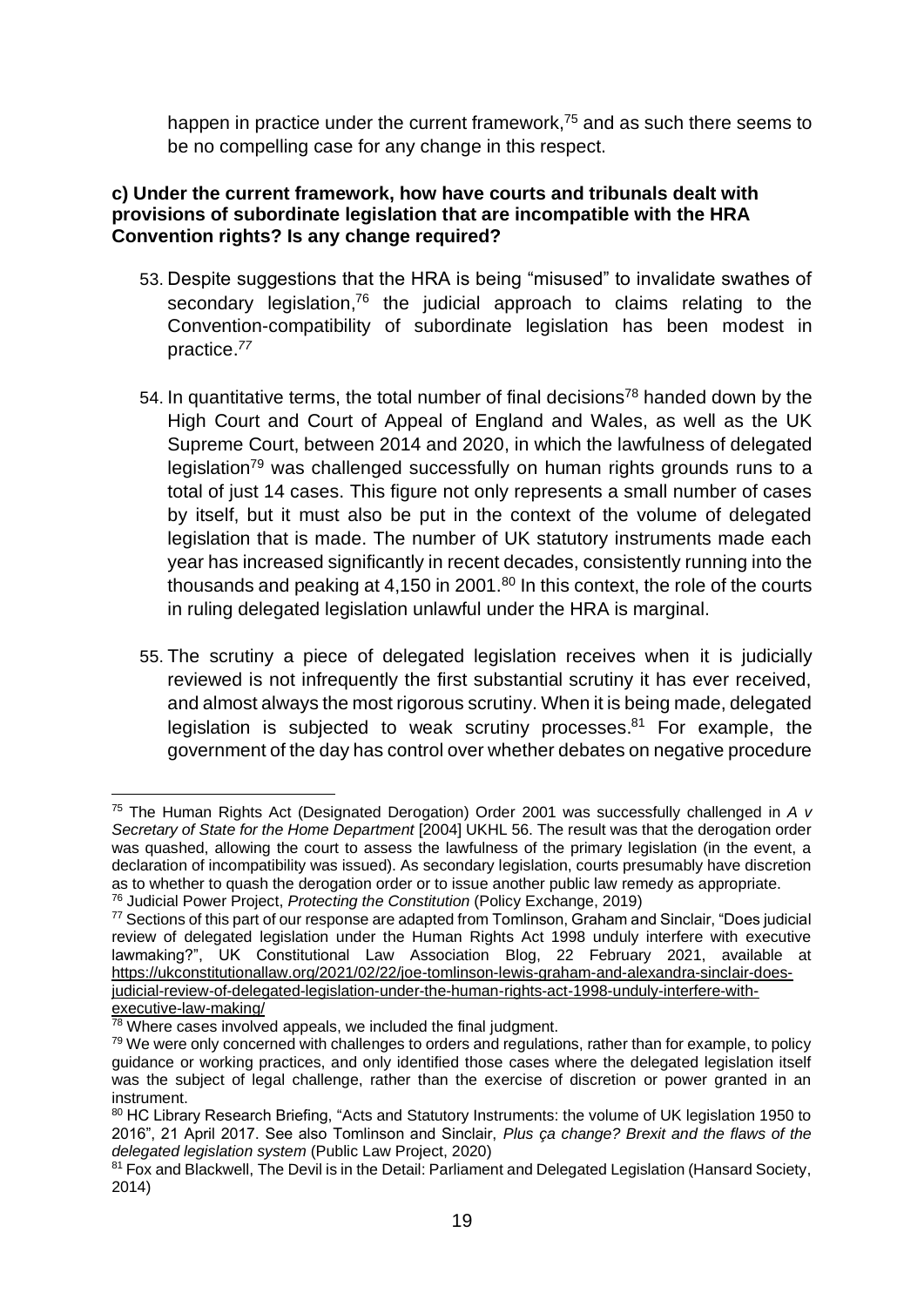happen in practice under the current framework,<sup>75</sup> and as such there seems to be no compelling case for any change in this respect.

#### **c) Under the current framework, how have courts and tribunals dealt with provisions of subordinate legislation that are incompatible with the HRA Convention rights? Is any change required?**

- 53. Despite suggestions that the HRA is being "misused" to invalidate swathes of secondary legislation,<sup>76</sup> the judicial approach to claims relating to the Convention-compatibility of subordinate legislation has been modest in practice. *77*
- 54. In quantitative terms, the total number of final decisions<sup>78</sup> handed down by the High Court and Court of Appeal of England and Wales, as well as the UK Supreme Court, between 2014 and 2020, in which the lawfulness of delegated legislation<sup>79</sup> was challenged successfully on human rights grounds runs to a total of just 14 cases. This figure not only represents a small number of cases by itself, but it must also be put in the context of the volume of delegated legislation that is made. The number of UK statutory instruments made each year has increased significantly in recent decades, consistently running into the thousands and peaking at 4,150 in 2001.<sup>80</sup> In this context, the role of the courts in ruling delegated legislation unlawful under the HRA is marginal.
- 55. The scrutiny a piece of delegated legislation receives when it is judicially reviewed is not infrequently the first substantial scrutiny it has ever received, and almost always the most rigorous scrutiny. When it is being made, delegated legislation is subjected to weak scrutiny processes.<sup>81</sup> For example, the government of the day has control over whether debates on negative procedure

<sup>75</sup> The Human Rights Act (Designated Derogation) Order 2001 was successfully challenged in *A v Secretary of State for the Home Department* [2004] UKHL 56. The result was that the derogation order was quashed, allowing the court to assess the lawfulness of the primary legislation (in the event, a declaration of incompatibility was issued). As secondary legislation, courts presumably have discretion as to whether to quash the derogation order or to issue another public law remedy as appropriate. <sup>76</sup> Judicial Power Project, *Protecting the Constitution* (Policy Exchange, 2019)

 $77$  Sections of this part of our response are adapted from Tomlinson, Graham and Sinclair, "Does judicial review of delegated legislation under the Human Rights Act 1998 unduly interfere with executive lawmaking?", UK Constitutional Law Association Blog, 22 February 2021, available at [https://ukconstitutionallaw.org/2021/02/22/joe-tomlinson-lewis-graham-and-alexandra-sinclair-does](https://ukconstitutionallaw.org/2021/02/22/joe-tomlinson-lewis-graham-and-alexandra-sinclair-does-judicial-review-of-delegated-legislation-under-the-human-rights-act-1998-unduly-interfere-with-executive-law-making/)[judicial-review-of-delegated-legislation-under-the-human-rights-act-1998-unduly-interfere-with](https://ukconstitutionallaw.org/2021/02/22/joe-tomlinson-lewis-graham-and-alexandra-sinclair-does-judicial-review-of-delegated-legislation-under-the-human-rights-act-1998-unduly-interfere-with-executive-law-making/)[executive-law-making/](https://ukconstitutionallaw.org/2021/02/22/joe-tomlinson-lewis-graham-and-alexandra-sinclair-does-judicial-review-of-delegated-legislation-under-the-human-rights-act-1998-unduly-interfere-with-executive-law-making/)

 $\frac{78}{10}$  Where cases involved appeals, we included the final judgment.

<sup>&</sup>lt;sup>79</sup> We were only concerned with challenges to orders and regulations, rather than for example, to policy guidance or working practices, and only identified those cases where the delegated legislation itself was the subject of legal challenge, rather than the exercise of discretion or power granted in an instrument.

<sup>80</sup> HC Library Research Briefing, "Acts and Statutory Instruments: the volume of UK legislation 1950 to 2016", 21 April 2017. See also Tomlinson and Sinclair, *Plus ça change? Brexit and the flaws of the delegated legislation system* (Public Law Project, 2020)

<sup>81</sup> Fox and Blackwell, The Devil is in the Detail: Parliament and Delegated Legislation (Hansard Society, 2014)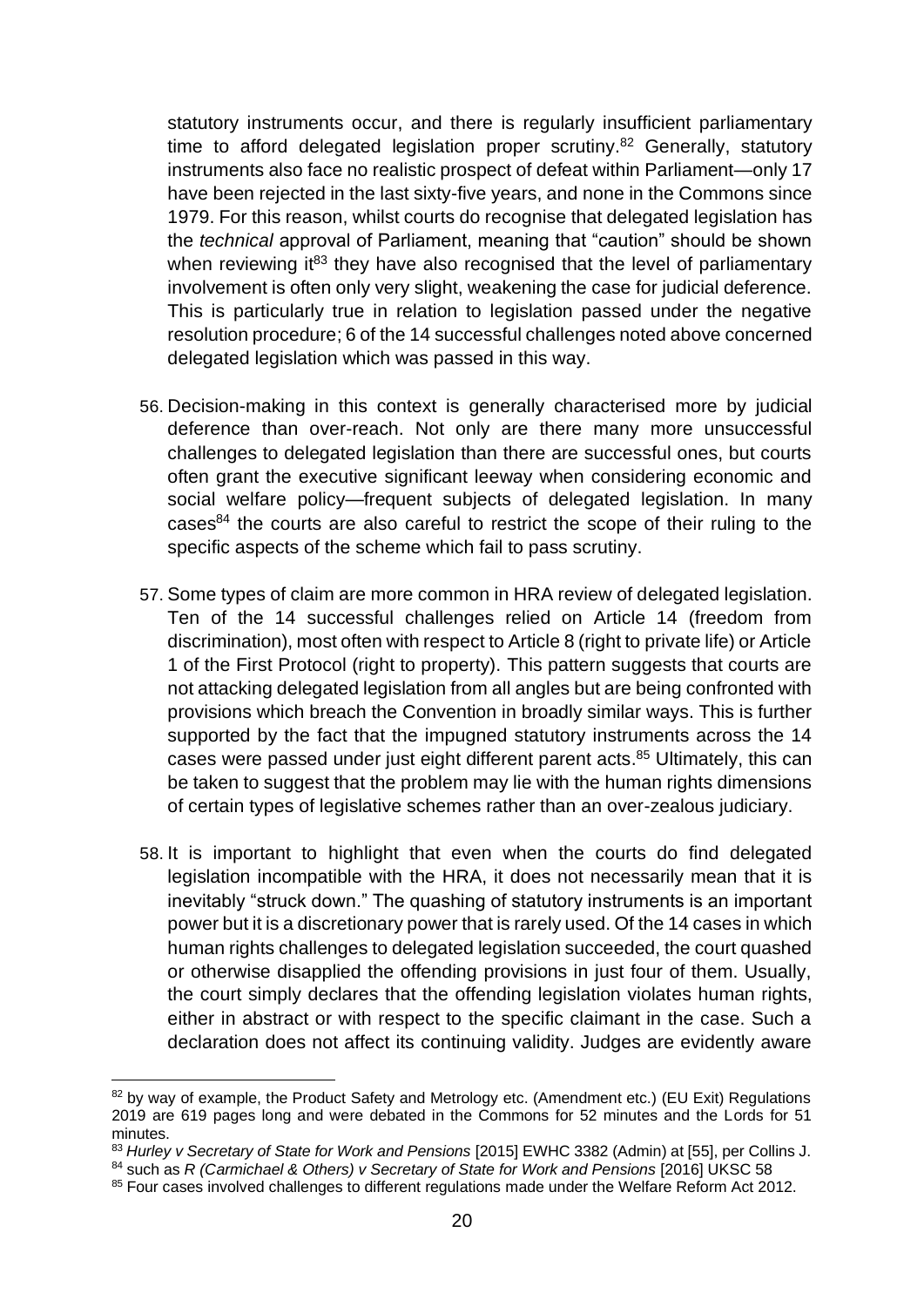statutory instruments occur, and there is regularly insufficient parliamentary time to afford delegated legislation proper scrutiny.<sup>82</sup> Generally, statutory instruments also face no realistic prospect of defeat within Parliament—only 17 have been rejected in the last sixty-five years, and none in the Commons since 1979. For this reason, whilst courts do recognise that delegated legislation has the *technical* approval of Parliament, meaning that "caution" should be shown when reviewing it<sup>83</sup> they have also recognised that the level of parliamentary involvement is often only very slight, weakening the case for judicial deference. This is particularly true in relation to legislation passed under the negative resolution procedure; 6 of the 14 successful challenges noted above concerned delegated legislation which was passed in this way.

- 56. Decision-making in this context is generally characterised more by judicial deference than over-reach. Not only are there many more unsuccessful challenges to delegated legislation than there are successful ones, but courts often grant the executive significant leeway when considering economic and social welfare policy—frequent subjects of delegated legislation. In many  $cases<sup>84</sup>$  the courts are also careful to restrict the scope of their ruling to the specific aspects of the scheme which fail to pass scrutiny.
- 57. Some types of claim are more common in HRA review of delegated legislation. Ten of the 14 successful challenges relied on Article 14 (freedom from discrimination), most often with respect to Article 8 (right to private life) or Article 1 of the First Protocol (right to property). This pattern suggests that courts are not attacking delegated legislation from all angles but are being confronted with provisions which breach the Convention in broadly similar ways. This is further supported by the fact that the impugned statutory instruments across the 14 cases were passed under just eight different parent acts. <sup>85</sup> Ultimately, this can be taken to suggest that the problem may lie with the human rights dimensions of certain types of legislative schemes rather than an over-zealous judiciary.
- 58. It is important to highlight that even when the courts do find delegated legislation incompatible with the HRA, it does not necessarily mean that it is inevitably "struck down." The quashing of statutory instruments is an important power but it is a discretionary power that is rarely used. Of the 14 cases in which human rights challenges to delegated legislation succeeded, the court quashed or otherwise disapplied the offending provisions in just four of them. Usually, the court simply declares that the offending legislation violates human rights, either in abstract or with respect to the specific claimant in the case. Such a declaration does not affect its continuing validity. Judges are evidently aware

<sup>82</sup> bv wav of example, the Product Safety and Metrology etc. (Amendment etc.) (EU Exit) Regulations 2019 are 619 pages long and were debated in the Commons for 52 minutes and the Lords for 51 minutes.

<sup>83</sup> *Hurley v Secretary of State for Work and Pensions* [2015] EWHC 3382 (Admin) at [55], per Collins J. 84 such as *R* (Carmichael & Others) v Secretary of State for Work and Pensions [2016] UKSC 58

<sup>&</sup>lt;sup>85</sup> Four cases involved challenges to different regulations made under the Welfare Reform Act 2012.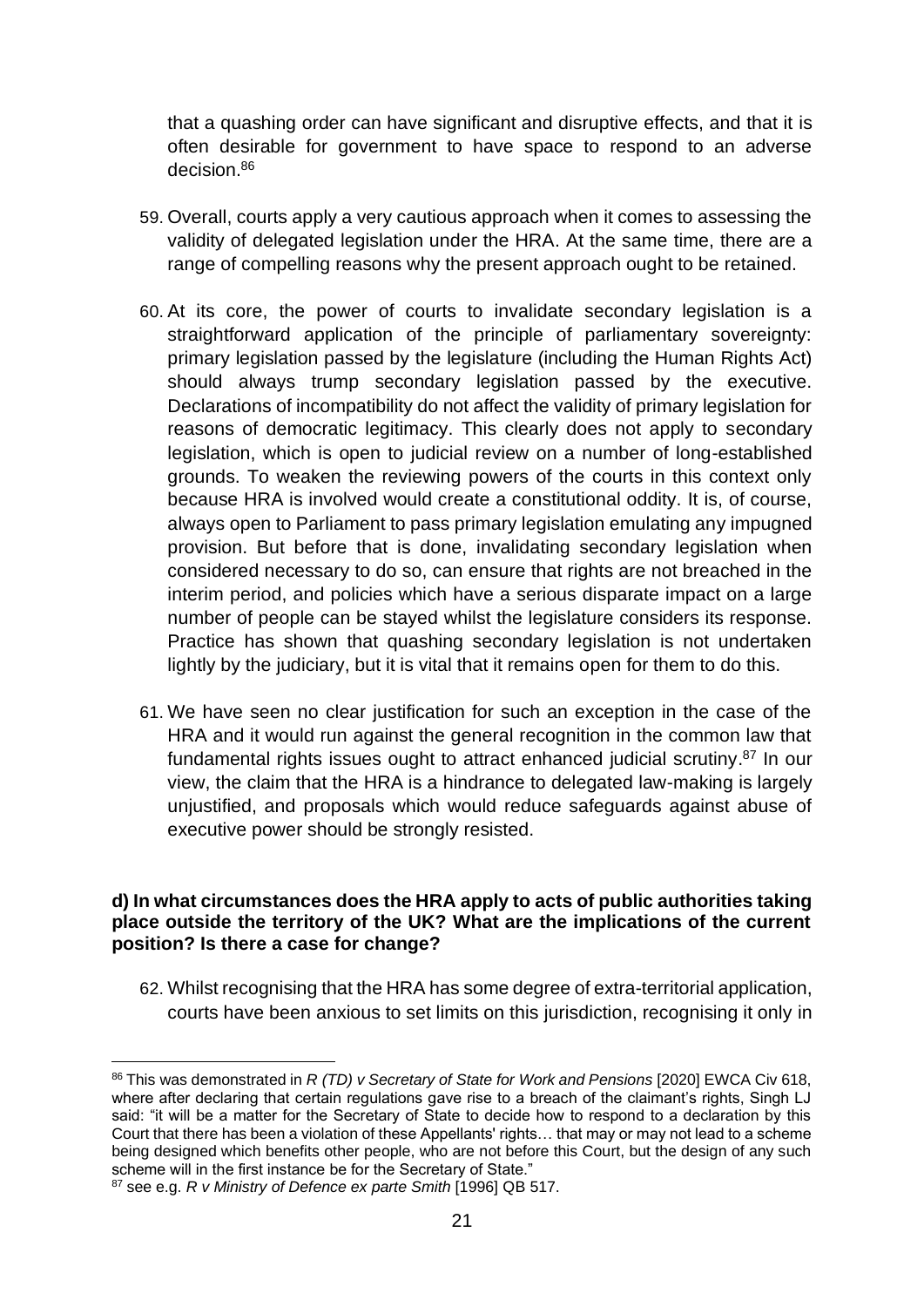that a quashing order can have significant and disruptive effects, and that it is often desirable for government to have space to respond to an adverse decision 86

- 59. Overall, courts apply a very cautious approach when it comes to assessing the validity of delegated legislation under the HRA. At the same time, there are a range of compelling reasons why the present approach ought to be retained.
- 60. At its core, the power of courts to invalidate secondary legislation is a straightforward application of the principle of parliamentary sovereignty: primary legislation passed by the legislature (including the Human Rights Act) should always trump secondary legislation passed by the executive. Declarations of incompatibility do not affect the validity of primary legislation for reasons of democratic legitimacy. This clearly does not apply to secondary legislation, which is open to judicial review on a number of long-established grounds. To weaken the reviewing powers of the courts in this context only because HRA is involved would create a constitutional oddity. It is, of course, always open to Parliament to pass primary legislation emulating any impugned provision. But before that is done, invalidating secondary legislation when considered necessary to do so, can ensure that rights are not breached in the interim period, and policies which have a serious disparate impact on a large number of people can be stayed whilst the legislature considers its response. Practice has shown that quashing secondary legislation is not undertaken lightly by the judiciary, but it is vital that it remains open for them to do this.
- 61. We have seen no clear justification for such an exception in the case of the HRA and it would run against the general recognition in the common law that fundamental rights issues ought to attract enhanced judicial scrutiny.<sup>87</sup> In our view, the claim that the HRA is a hindrance to delegated law-making is largely unjustified, and proposals which would reduce safeguards against abuse of executive power should be strongly resisted.

#### **d) In what circumstances does the HRA apply to acts of public authorities taking place outside the territory of the UK? What are the implications of the current position? Is there a case for change?**

62. Whilst recognising that the HRA has some degree of extra-territorial application, courts have been anxious to set limits on this jurisdiction, recognising it only in

<sup>86</sup> This was demonstrated in *R (TD) v Secretary of State for Work and Pensions* [2020] EWCA Civ 618, where after declaring that certain regulations gave rise to a breach of the claimant's rights, Singh LJ said: "it will be a matter for the Secretary of State to decide how to respond to a declaration by this Court that there has been a violation of these Appellants' rights… that may or may not lead to a scheme being designed which benefits other people, who are not before this Court, but the design of any such scheme will in the first instance be for the Secretary of State."

<sup>87</sup> see e.g. *R v Ministry of Defence ex parte Smith* [1996] QB 517.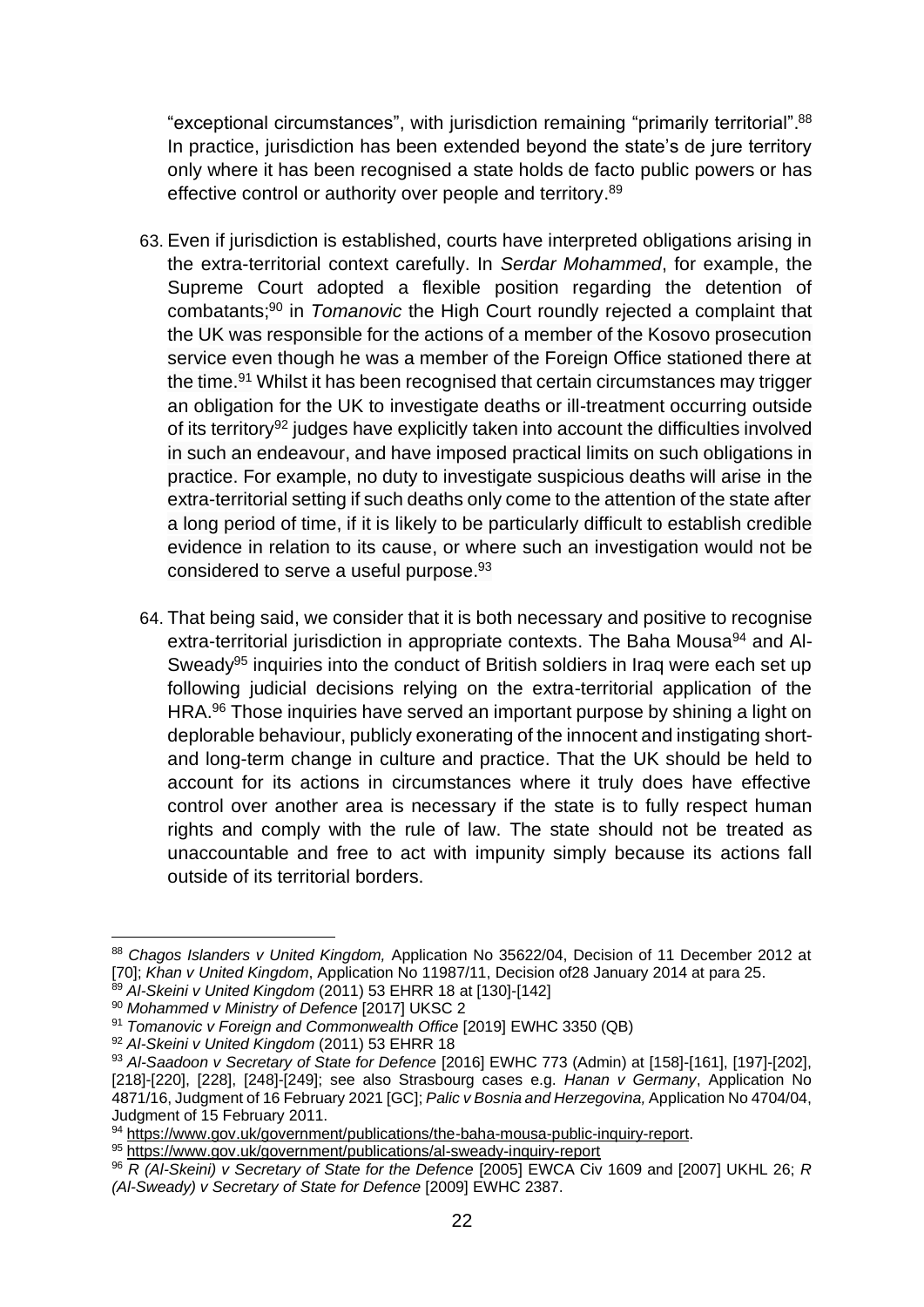"exceptional circumstances", with jurisdiction remaining "primarily territorial". 88 In practice, jurisdiction has been extended beyond the state's de jure territory only where it has been recognised a state holds de facto public powers or has effective control or authority over people and territory.<sup>89</sup>

- 63. Even if jurisdiction is established, courts have interpreted obligations arising in the extra-territorial context carefully. In *Serdar Mohammed*, for example, the Supreme Court adopted a flexible position regarding the detention of combatants;<sup>90</sup> in *Tomanovic* the High Court roundly rejected a complaint that the UK was responsible for the actions of a member of the Kosovo prosecution service even though he was a member of the Foreign Office stationed there at the time.<sup>91</sup> Whilst it has been recognised that certain circumstances may trigger an obligation for the UK to investigate deaths or ill-treatment occurring outside of its territory<sup>92</sup> judges have explicitly taken into account the difficulties involved in such an endeavour, and have imposed practical limits on such obligations in practice. For example, no duty to investigate suspicious deaths will arise in the extra-territorial setting if such deaths only come to the attention of the state after a long period of time, if it is likely to be particularly difficult to establish credible evidence in relation to its cause, or where such an investigation would not be considered to serve a useful purpose.<sup>93</sup>
- 64. That being said, we consider that it is both necessary and positive to recognise extra-territorial jurisdiction in appropriate contexts. The Baha Mousa<sup>94</sup> and Al-Sweady<sup>95</sup> inquiries into the conduct of British soldiers in Iraq were each set up following judicial decisions relying on the extra-territorial application of the HRA.<sup>96</sup> Those inquiries have served an important purpose by shining a light on deplorable behaviour, publicly exonerating of the innocent and instigating shortand long-term change in culture and practice. That the UK should be held to account for its actions in circumstances where it truly does have effective control over another area is necessary if the state is to fully respect human rights and comply with the rule of law. The state should not be treated as unaccountable and free to act with impunity simply because its actions fall outside of its territorial borders.

<sup>88</sup> *Chagos Islanders v United Kingdom,* Application No 35622/04, Decision of 11 December 2012 at [70]; *Khan v United Kingdom*, Application No 11987/11, Decision of28 January 2014 at para 25.

<sup>89</sup> *Al-Skeini v United Kingdom* (2011) 53 EHRR 18 at [130]-[142]

<sup>90</sup> *Mohammed v Ministry of Defence* [2017] UKSC 2

<sup>91</sup> *Tomanovic v Foreign and Commonwealth Office* [2019] EWHC 3350 (QB)

<sup>92</sup> *Al-Skeini v United Kingdom* (2011) 53 EHRR 18

<sup>93</sup> *Al-Saadoon v Secretary of State for Defence* [2016] EWHC 773 (Admin) at [158]-[161], [197]-[202], [218]-[220], [228], [248]-[249]; see also Strasbourg cases e.g. *Hanan v Germany*, Application No 4871/16, Judgment of 16 February 2021 [GC]; *Palic v Bosnia and Herzegovina,* Application No 4704/04, Judgment of 15 February 2011.

<sup>94</sup> [https://www.gov.uk/government/publications/the-baha-mousa-public-inquiry-report.](https://www.gov.uk/government/publications/the-baha-mousa-public-inquiry-report)

<sup>95</sup> <https://www.gov.uk/government/publications/al-sweady-inquiry-report>

<sup>96</sup> *R (Al-Skeini) v Secretary of State for the Defence* [2005] EWCA Civ 1609 and [2007] UKHL 26; *R (Al-Sweady) v Secretary of State for Defence* [2009] EWHC 2387.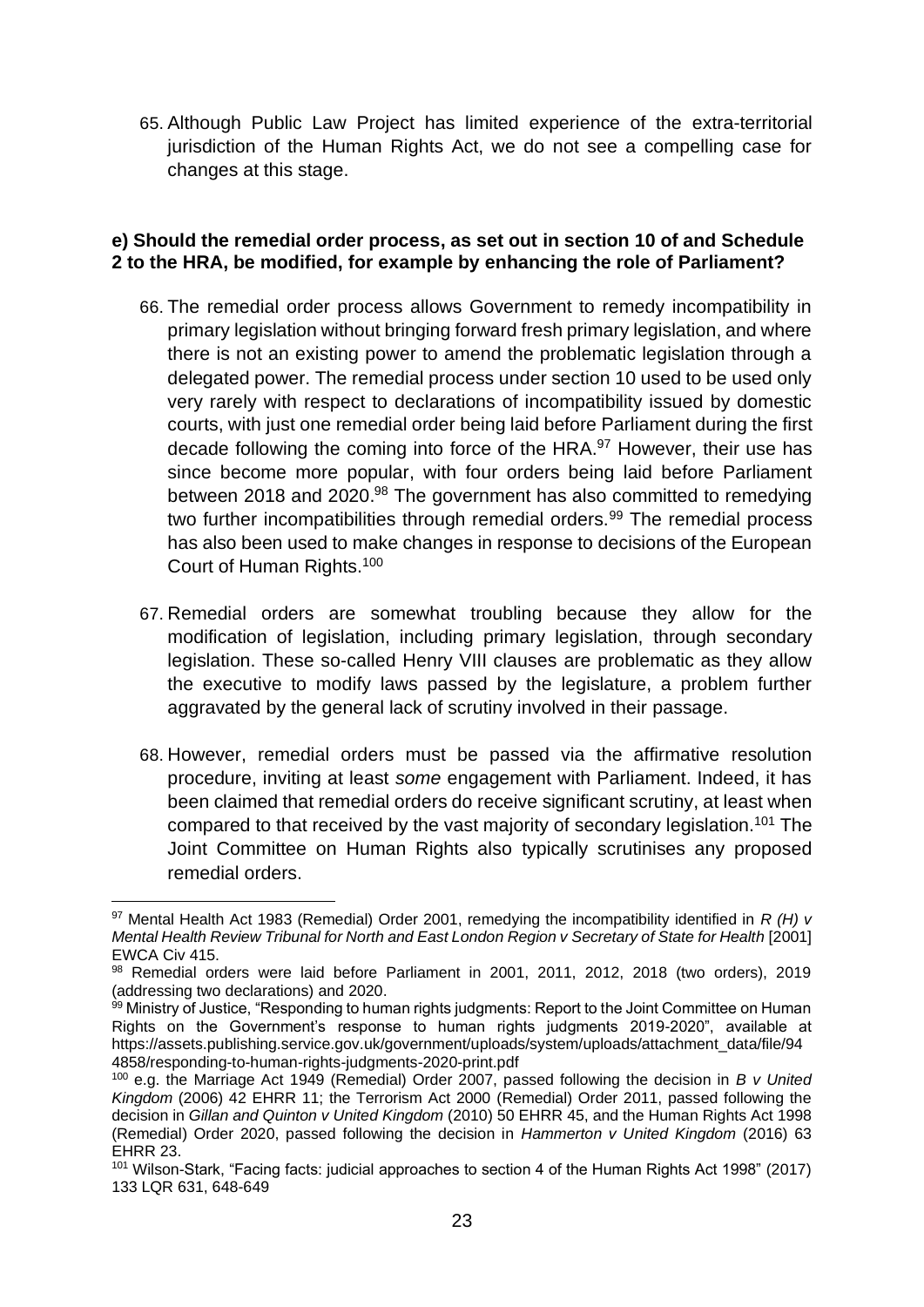65. Although Public Law Project has limited experience of the extra-territorial jurisdiction of the Human Rights Act, we do not see a compelling case for changes at this stage.

#### **e) Should the remedial order process, as set out in section 10 of and Schedule 2 to the HRA, be modified, for example by enhancing the role of Parliament?**

- 66. The remedial order process allows Government to remedy incompatibility in primary legislation without bringing forward fresh primary legislation, and where there is not an existing power to amend the problematic legislation through a delegated power. The remedial process under section 10 used to be used only very rarely with respect to declarations of incompatibility issued by domestic courts, with just one remedial order being laid before Parliament during the first decade following the coming into force of the HRA.<sup>97</sup> However, their use has since become more popular, with four orders being laid before Parliament between 2018 and 2020.<sup>98</sup> The government has also committed to remedying two further incompatibilities through remedial orders.<sup>99</sup> The remedial process has also been used to make changes in response to decisions of the European Court of Human Rights.<sup>100</sup>
- 67. Remedial orders are somewhat troubling because they allow for the modification of legislation, including primary legislation, through secondary legislation. These so-called Henry VIII clauses are problematic as they allow the executive to modify laws passed by the legislature, a problem further aggravated by the general lack of scrutiny involved in their passage.
- 68. However, remedial orders must be passed via the affirmative resolution procedure, inviting at least *some* engagement with Parliament. Indeed, it has been claimed that remedial orders do receive significant scrutiny, at least when compared to that received by the vast majority of secondary legislation.<sup>101</sup> The Joint Committee on Human Rights also typically scrutinises any proposed remedial orders.

<sup>97</sup> Mental Health Act 1983 (Remedial) Order 2001, remedying the incompatibility identified in *R (H) v Mental Health Review Tribunal for North and East London Region v Secretary of State for Health* [2001] EWCA Civ 415.

<sup>98</sup> Remedial orders were laid before Parliament in 2001, 2011, 2012, 2018 (two orders), 2019 (addressing two declarations) and 2020.

<sup>99</sup> Ministry of Justice, "Responding to human rights judgments: Report to the Joint Committee on Human Rights on the Government's response to human rights judgments 2019-2020", available at https://assets.publishing.service.gov.uk/government/uploads/system/uploads/attachment\_data/file/94 4858/responding-to-human-rights-judgments-2020-print.pdf

<sup>100</sup> e.g. the Marriage Act 1949 (Remedial) Order 2007, passed following the decision in *B v United Kingdom* (2006) 42 EHRR 11; the Terrorism Act 2000 (Remedial) Order 2011, passed following the decision in *Gillan and Quinton v United Kingdom* (2010) 50 EHRR 45, and the Human Rights Act 1998 (Remedial) Order 2020, passed following the decision in *Hammerton v United Kingdom* (2016) 63 EHRR 23.

<sup>101</sup> Wilson-Stark, "Facing facts: judicial approaches to section 4 of the Human Rights Act 1998" (2017) 133 LQR 631, 648-649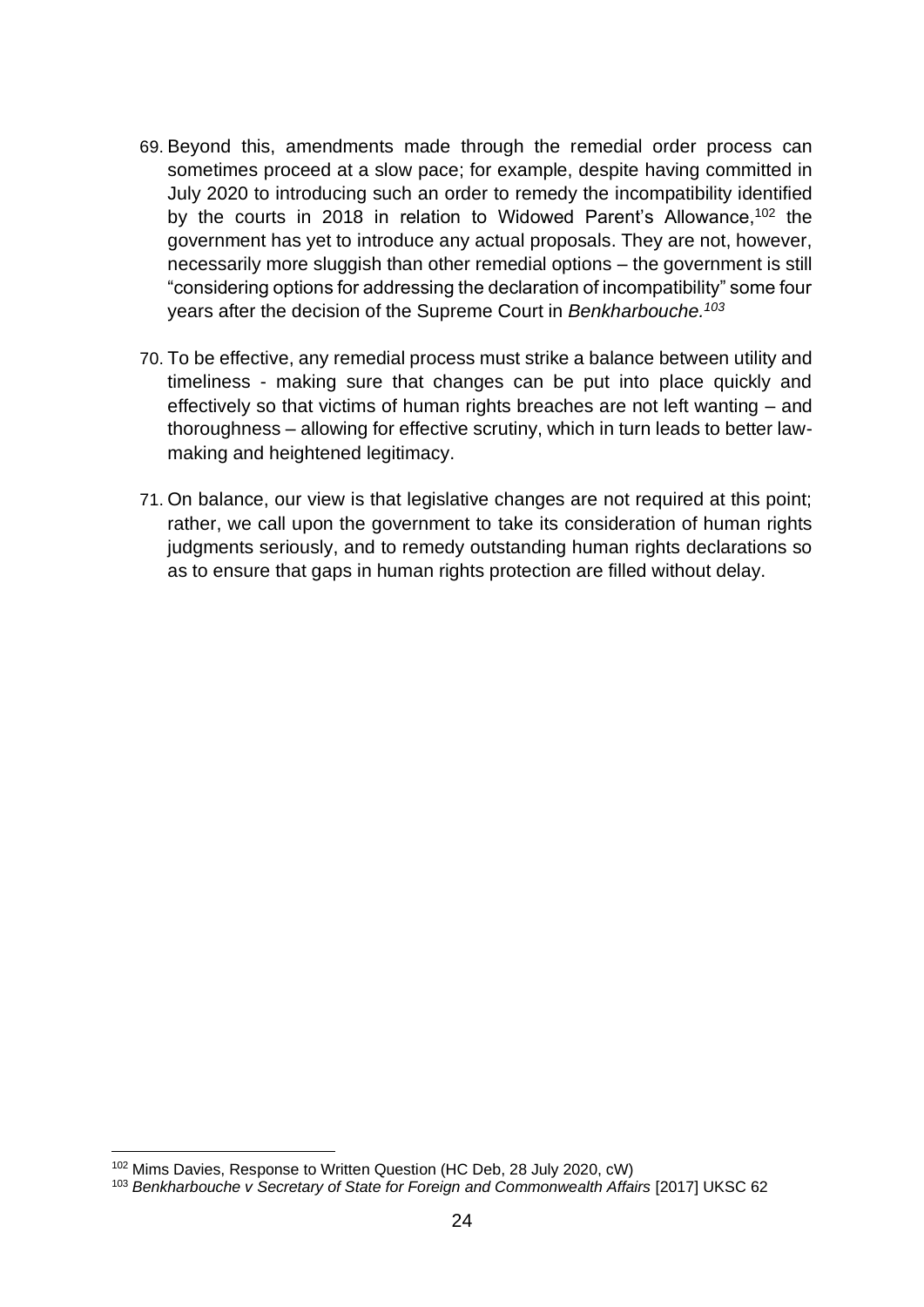- 69. Beyond this, amendments made through the remedial order process can sometimes proceed at a slow pace; for example, despite having committed in July 2020 to introducing such an order to remedy the incompatibility identified by the courts in 2018 in relation to Widowed Parent's Allowance,<sup>102</sup> the government has yet to introduce any actual proposals. They are not, however, necessarily more sluggish than other remedial options – the government is still "considering options for addressing the declaration of incompatibility" some four years after the decision of the Supreme Court in *Benkharbouche.<sup>103</sup>*
- 70. To be effective, any remedial process must strike a balance between utility and timeliness - making sure that changes can be put into place quickly and effectively so that victims of human rights breaches are not left wanting – and thoroughness – allowing for effective scrutiny, which in turn leads to better lawmaking and heightened legitimacy.
- 71. On balance, our view is that legislative changes are not required at this point; rather, we call upon the government to take its consideration of human rights judgments seriously, and to remedy outstanding human rights declarations so as to ensure that gaps in human rights protection are filled without delay.

<sup>102</sup> Mims Davies, Response to Written Question (HC Deb, 28 July 2020, cW)

<sup>103</sup> *Benkharbouche v Secretary of State for Foreign and Commonwealth Affairs* [2017] UKSC 62